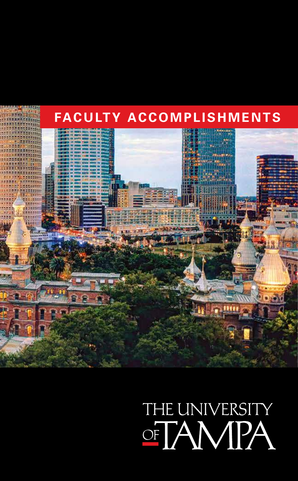



# THE UNIVERSITY<br>OF TANJPA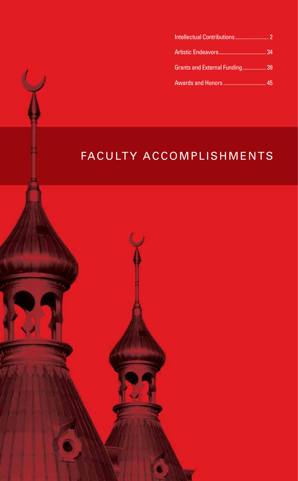| Grants and External Funding 39 |  |
|--------------------------------|--|
|                                |  |

# FACULTY ACCOMPLISHMENTS

ر۔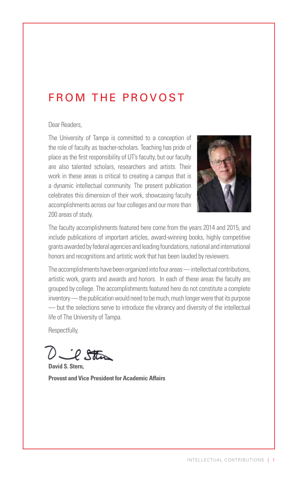# FROM THE PROVOST

# Dear Readers,

The University of Tampa is committed to a conception of the role of faculty as teacher-scholars. Teaching has pride of place as the first responsibility of UT's faculty, but our faculty are also talented scholars, researchers and artists. Their work in these areas is critical to creating a campus that is a dynamic intellectual community. The present publication celebrates this dimension of their work, showcasing faculty accomplishments across our four colleges and our more than 200 areas of study.



The faculty accomplishments featured here come from the years 2014 and 2015, and include publications of important articles, award-winning books, highly competitive grants awarded by federal agencies and leading foundations, national and international honors and recognitions and artistic work that has been lauded by reviewers.

The accomplishments have been organized into four areas — intellectual contributions, artistic work, grants and awards and honors. In each of these areas the faculty are grouped by college. The accomplishments featured here do not constitute a complete inventory — the publication would need to be much, much longer were that its purpose — but the selections serve to introduce the vibrancy and diversity of the intellectual life of The University of Tampa.

Respectfully,

O il Sten

**David S. Stern, Provost and Vice President for Academic Affairs**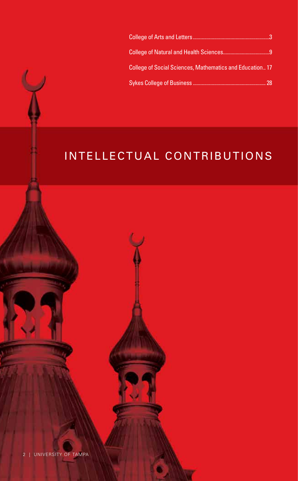| <b>College of Social Sciences, Mathematics and Education 17</b> |  |
|-----------------------------------------------------------------|--|
|                                                                 |  |

# INTELLECTUAL CONTRIBUTIONS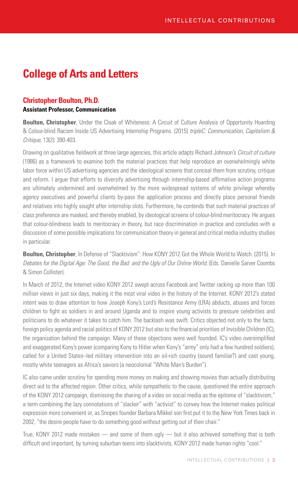# **College of Arts and Letters**

# **Christopher Boulton, Ph.D.**

#### **Assistant Professor, Communication**

**Boulton, Christopher**, Under the Cloak of Whiteness: A Circuit of Culture Analysis of Opportunity Hoarding & Colour-blind Racism Inside US Advertising Internship Programs. (2015) *tripleC: Communication, Capitalism & Critique*, 13(2): 390-403.

Drawing on qualitative fieldwork at three large agencies, this article adapts Richard Johnson's *Circuit of culture* (1986) as a framework to examine both the material practices that help reproduce an overwhelmingly white labor force within US advertising agencies and the ideological screens that conceal them from scrutiny, critique and reform. I argue that efforts to diversify advertising through internship-based affirmative action programs are ultimately undermined and overwhelmed by the more widespread systems of white privilege whereby agency executives and powerful clients by-pass the application process and directly place personal friends and relatives into highly sought after internship slots. Furthermore, he contends that such material practices of class preference are masked, and thereby enabled, by ideological screens of colour-blind meritocracy. He argues that colour-blindness leads to meritocracy in theory, but race discrimination in practice and concludes with a discussion of some possible implications for communication theory in general and critical media industry studies in particular.

**Boulton, Christopher**, In Defense of "Slacktivism": How KONY 2012 Got the Whole World to Watch. (2015). In *Debates for the Digital Age: The Good, the Bad and the Ugly of Our Online World*, (Eds. Danielle Sarver Coombs & Simon Collister).

In March of 2012, the Internet video KONY 2012 swept across Facebook and Twitter racking up more than 100 million views in just six days, making it the most viral video in the history of the Internet. KONY 2012's stated intent was to draw attention to how Joseph Kony's Lord's Resistance Army (LRA) abducts, abuses and forces children to fight as soldiers in and around Uganda and to inspire young activists to pressure celebrities and politicians to do whatever it takes to catch him. The backlash was swift. Critics objected not only to the facts, foreign policy agenda and racial politics of KONY 2012 but also to the financial priorities of Invisible Children (IC), the organization behind the campaign. Many of these objections were well founded. IC's video oversimplified and exaggerated Kony's power (comparing Kony to Hitler when Kony's "army" only had a few hundred soldiers), called for a United States–led military intervention into an oil-rich country (sound familiar?) and cast young, mostly white teenagers as Africa's saviors (a neocolonial "White Man's Burden").

IC also came under scrutiny for spending more money on making and showing movies than actually distributing direct aid to the affected region. Other critics, while sympathetic to the cause, questioned the entire approach of the KONY 2012 campaign, dismissing the sharing of a video on social media as the epitome of "slacktivism," a term combining the lazy connotations of "slacker" with "activist" to convey how the Internet makes political expression more convenient or, as Snopes founder Barbara Mikkel son first put it to the New York Times back in 2002, "the desire people have to do something good without getting out of their chair."

True, KONY 2012 made mistakes — and some of them ugly — but it also achieved something that is both difficult and important; by turning suburban teens into slacktivists, KONY 2012 made human rights "cool."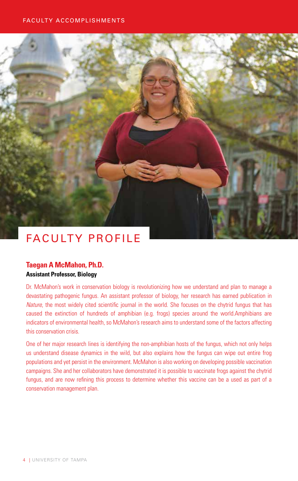

# **Taegan A McMahon, Ph.D.**

# **Assistant Professor, Biology**

Dr. McMahon's work in conservation biology is revolutionizing how we understand and plan to manage a devastating pathogenic fungus. An assistant professor of biology, her research has earned publication in *Nature*, the most widely cited scientific journal in the world. She focuses on the chytrid fungus that has caused the extinction of hundreds of amphibian (e.g. frogs) species around the world.Amphibians are indicators of environmental health, so McMahon's research aims to understand some of the factors affecting this conservation crisis.

One of her major research lines is identifying the non-amphibian hosts of the fungus, which not only helps us understand disease dynamics in the wild, but also explains how the fungus can wipe out entire frog populations and yet persist in the environment. McMahon is also working on developing possible vaccination campaigns. She and her collaborators have demonstrated it is possible to vaccinate frogs against the chytrid fungus, and are now refining this process to determine whether this vaccine can be a used as part of a conservation management plan.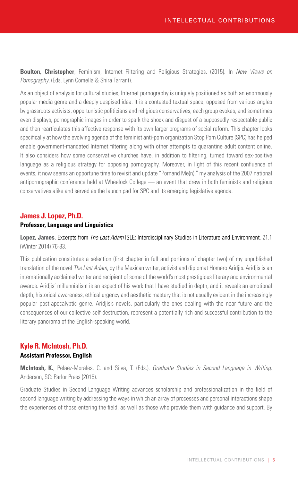**Boulton, Christopher**, Feminism, Internet Filtering and Religious Strategies. (2015). In *New Views on Pornography*, (Eds. Lynn Comella & Shira Tarrant).

As an object of analysis for cultural studies, Internet pornography is uniquely positioned as both an enormously popular media genre and a deeply despised idea. It is a contested textual space, opposed from various angles by grassroots activists, opportunistic politicians and religious conservatives; each group evokes, and sometimes even displays, pornographic images in order to spark the shock and disgust of a supposedly respectable public and then rearticulates this affective response with its own larger programs of social reform. This chapter looks specifically at how the evolving agenda of the feminist anti-porn organization Stop Porn Culture (SPC) has helped enable government-mandated Internet filtering along with other attempts to quarantine adult content online. It also considers how some conservative churches have, in addition to filtering, turned toward sex-positive language as a religious strategy for opposing pornography. Moreover, in light of this recent confluence of events, it now seems an opportune time to revisit and update "Pornand Me(n)," my analysis of the 2007 national antipornographic conference held at Wheelock College — an event that drew in both feminists and religious conservatives alike and served as the launch pad for SPC and its emerging legislative agenda.

#### **James J. Lopez, Ph.D.**

#### **Professor, Language and Linguistics**

**Lopez, James**, Excerpts from *The Last Adam* ISLE: Interdisciplinary Studies in Literature and Environment. 21.1 (Winter 2014) 76-83.

This publication constitutes a selection (first chapter in full and portions of chapter two) of my unpublished translation of the novel *The Last Adam*, by the Mexican writer, activist and diplomat Homero Aridjis. Aridjis is an internationally acclaimed writer and recipient of some of the world's most prestigious literary and environmental awards. Aridjis' millennialism is an aspect of his work that I have studied in depth, and it reveals an emotional depth, historical awareness, ethical urgency and aesthetic mastery that is not usually evident in the increasingly popular post-apocalyptic genre. Aridjis's novels, particularly the ones dealing with the near future and the consequences of our collective self-destruction, represent a potentially rich and successful contribution to the literary panorama of the English-speaking world.

#### **Kyle R. McIntosh, Ph.D.**

#### **Assistant Professor, English**

**McIntosh, K.**, Pelaez-Morales, C. and Silva, T. (Eds.). *Graduate Studies in Second Language in Writing*. Anderson, SC: Parlor Press (2015).

Graduate Studies in Second Language Writing advances scholarship and professionalization in the field of second language writing by addressing the ways in which an array of processes and personal interactions shape the experiences of those entering the field, as well as those who provide them with guidance and support. By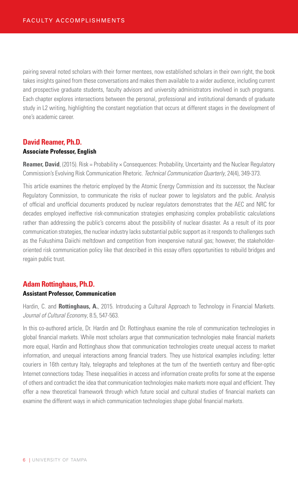pairing several noted scholars with their former mentees, now established scholars in their own right, the book takes insights gained from these conversations and makes them available to a wider audience, including current and prospective graduate students, faculty advisors and university administrators involved in such programs. Each chapter explores intersections between the personal, professional and institutional demands of graduate study in L2 writing, highlighting the constant negotiation that occurs at different stages in the development of one's academic career.

#### **David Reamer, Ph.D.**

#### **Associate Professor, English**

**Reamer, David**, (2015). Risk = Probability × Consequences: Probability, Uncertainty and the Nuclear Regulatory Commission's Evolving Risk Communication Rhetoric. *Technical Communication Quarterly*, 24(4), 349-373.

This article examines the rhetoric employed by the Atomic Energy Commission and its successor, the Nuclear Regulatory Commission, to communicate the risks of nuclear power to legislators and the public. Analysis of official and unofficial documents produced by nuclear regulators demonstrates that the AEC and NRC for decades employed ineffective risk-communication strategies emphasizing complex probabilistic calculations rather than addressing the public's concerns about the possibility of nuclear disaster. As a result of its poor communication strategies, the nuclear industry lacks substantial public support as it responds to challenges such as the Fukushima Daiichi meltdown and competition from inexpensive natural gas; however, the stakeholderoriented risk communication policy like that described in this essay offers opportunities to rebuild bridges and regain public trust.

# **Adam Rottinghaus, Ph.D.**

#### **Assistant Professor, Communication**

Hardin, C. and **Rottinghaus, A.**, 2015. Introducing a Cultural Approach to Technology in Financial Markets. *Journal of Cultural Economy*, 8.5, 547-563.

In this co-authored article, Dr. Hardin and Dr. Rottinghaus examine the role of communication technologies in global financial markets. While most scholars argue that communication technologies make financial markets more equal, Hardin and Rottinghaus show that communication technologies create unequal access to market information, and unequal interactions among financial traders. They use historical examples including: letter couriers in 16th century Italy, telegraphs and telephones at the turn of the twentieth century and fiber-optic Internet connections today. These inequalities in access and information create profits for some at the expense of others and contradict the idea that communication technologies make markets more equal and efficient. They offer a new theoretical framework through which future social and cultural studies of financial markets can examine the different ways in which communication technologies shape global financial markets.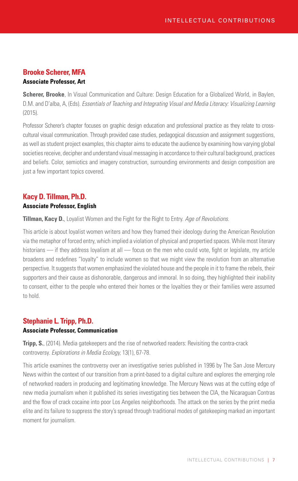## **Brooke Scherer, MFA Associate Professor, Art**

**Scherer, Brooke**, In Visual Communication and Culture: Design Education for a Globalized World, in Baylen, D.M. and D'alba, A, (Eds). *Essentials of Teaching and Integrating Visual and Media Literacy: Visualizing Learning* (2015).

Professor Scherer's chapter focuses on graphic design education and professional practice as they relate to crosscultural visual communication. Through provided case studies, pedagogical discussion and assignment suggestions, as well as student project examples, this chapter aims to educate the audience by examining how varying global societies receive, decipher and understand visual messaging in accordance to their cultural background, practices and beliefs. Color, semiotics and imagery construction, surrounding environments and design composition are just a few important topics covered.

# **Kacy D. Tillman, Ph.D.**

# **Associate Professor, English**

**Tillman, Kacy D.**, Loyalist Women and the Fight for the Right to Entry. *Age of Revolutions*.

This article is about loyalist women writers and how they framed their ideology during the American Revolution via the metaphor of forced entry, which implied a violation of physical and propertied spaces. While most literary historians — if they address loyalism at all — focus on the men who could vote, fight or legislate, my article broadens and redefines "loyalty" to include women so that we might view the revolution from an alternative perspective. It suggests that women emphasized the violated house and the people in it to frame the rebels, their supporters and their cause as dishonorable, dangerous and immoral. In so doing, they highlighted their inability to consent, either to the people who entered their homes or the loyalties they or their families were assumed to hold.

# **Stephanie L. Tripp, Ph.D.**

#### **Associate Professor, Communication**

**Tripp, S.**, (2014). Media gatekeepers and the rise of networked readers: Revisiting the contra-crack controversy. *Explorations in Media Ecology,* 13(1), 67-78.

This article examines the controversy over an investigative series published in 1996 by The San Jose Mercury News within the context of our transition from a print-based to a digital culture and explores the emerging role of networked readers in producing and legitimating knowledge. The Mercury News was at the cutting edge of new media journalism when it published its series investigating ties between the CIA, the Nicaraguan Contras and the flow of crack cocaine into poor Los Angeles neighborhoods. The attack on the series by the print media elite and its failure to suppress the story's spread through traditional modes of gatekeeping marked an important moment for journalism.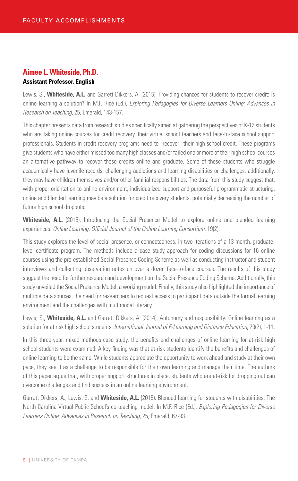# **Aimee L. Whiteside, Ph.D. Assistant Professor, English**

Lewis, S., **Whiteside, A.L.** and Garrett Dikkers, A. (2015). Providing chances for students to recover credit: Is online learning a solution? In M.F. Rice (Ed.), *Exploring Pedagogies for Diverse Learners Online: Advances in Research on Teaching*, 25, Emerald, 143-157.

This chapter presents data from research studies specifically aimed at gathering the perspectives of K-12 students who are taking online courses for credit recovery, their virtual school teachers and face-to-face school support professionals. Students in credit recovery programs need to "recover" their high school credit. These programs give students who have either missed too many high classes and/or failed one or more of their high school courses an alternative pathway to recover these credits online and graduate. Some of these students who struggle academically have juvenile records, challenging addictions and learning disabilities or challenges; additionally, they may have children themselves and/or other familial responsibilities. The data from this study suggest that, with proper orientation to online environment, individualized support and purposeful programmatic structuring, online and blended learning may be a solution for credit recovery students, potentially decreasing the number of future high school dropouts.

**Whiteside, A.L.** (2015). Introducing the Social Presence Model to explore online and blended learning experiences. *Online Learning: Official Journal of the Online Learning Consortium*, 19(2).

This study explores the level of social presence, or connectedness, in two iterations of a 13-month, graduatelevel certificate program. The methods include a case study approach for coding discussions for 16 online courses using the pre-established Social Presence Coding Scheme as well as conducting instructor and student interviews and collecting observation notes on over a dozen face-to-face courses. The results of this study suggest the need for further research and development on the Social Presence Coding Scheme. Additionally, this study unveiled the Social Presence Model, a working model. Finally, this study also highlighted the importance of multiple data sources, the need for researchers to request access to participant data outside the formal learning environment and the challenges with multimodal literacy.

Lewis, S., **Whiteside, A.L.** and Garrett Dikkers, A. (2014). Autonomy and responsibility: Online learning as a solution for at risk high school students. *International Journal of E-Learning and Distance Education*, 29(2), 1-11.

In this three-year, mixed methods case study, the benefits and challenges of online learning for at-risk high school students were examined. A key finding was that at-risk students identify the benefits and challenges of online learning to be the same. While students appreciate the opportunity to work ahead and study at their own pace, they see it as a challenge to be responsible for their own learning and manage their time. The authors of this paper argue that, with proper support structures in place, students who are at-risk for dropping out can overcome challenges and find success in an online learning environment.

Garrett Dikkers, A., Lewis, S. and **Whiteside, A.L.** (2015). Blended learning for students with disabilities: The North Carolina Virtual Public School's co-teaching model. In M.F. Rice (Ed.), *Exploring Pedagogies for Diverse Learners Online: Advances in Research on Teaching*, 25, Emerald, 67-93.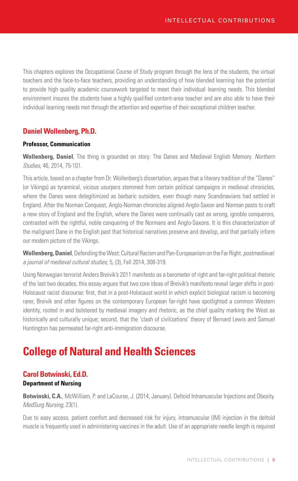This chapters explores the Occupational Course of Study program through the lens of the students, the virtual teachers and the face-to-face teachers, providing an understanding of how blended learning has the potential to provide high quality academic coursework targeted to meet their individual learning needs. This blended environment insures the students have a highly qualified content-area teacher and are also able to have their individual learning needs met through the attention and expertise of their exceptional children teacher.

# **Daniel Wollenberg, Ph.D.**

#### **Professor, Communication**

**Wollenberg, Daniel**, The thing is grounded on story: The Danes and Medieval English Memory. *Northern Studies*, 46, 2014, 75-101.

This article, based on a chapter from Dr. Wollenberg's dissertation, argues that a literary tradition of the "Danes" (or Vikings) as tyrannical, vicious usurpers stemmed from certain political campaigns in medieval chronicles, where the Danes were delegitimized as barbaric outsiders, even though many Scandinavians had settled in England. After the Norman Conquest, Anglo-Norman chronicles aligned Anglo-Saxon and Norman pasts to craft a new story of England and the English, where the Danes were continually cast as wrong, ignoble conquerors, contrasted with the rightful, noble conquering of the Normans and Anglo-Saxons. It is this characterization of the malignant Dane in the English past that historical narratives preserve and develop, and that partially inform our modern picture of the Vikings.

**Wollenberg, Daniel**, Defending the West: Cultural Racism and Pan-Europeanism on the Far Right. *postmedieval: a journal of medieval cultural studies*, 5, (3), Fall 2014, 308-319.

Using Norwegian terrorist Anders Breivik's 2011 manifesto as a barometer of right and far-right political rhetoric of the last two decades, this essay argues that two core ideas of Breivik's manifesto reveal larger shifts in post-Holocaust racist discourse: first, that in a post-Holocaust world in which explicit biological racism is becoming rarer, Breivik and other figures on the contemporary European far-right have spotlighted a common Western identity, rooted in and bolstered by medieval imagery and rhetoric, as the chief quality marking the West as historically and culturally unique; second, that the 'clash of civilizations' theory of Bernard Lewis and Samuel Huntington has permeated far-right anti-immigration discourse.

# **College of Natural and Health Sciences**

# **Carol Botwinski, Ed.D.**

# **Department of Nursing**

**Botwinski, C.A.**, McWilliam, P. and LaCourse, J. (2014, January). Deltoid Intramuscular Injections and Obesity. *MedSurg Nursing*, 23(1).

Due to easy access, patient comfort and decreased risk for injury, intramuscular (IM) injection in the deltoid muscle is frequently used in administering vaccines in the adult. Use of an appropriate needle length is required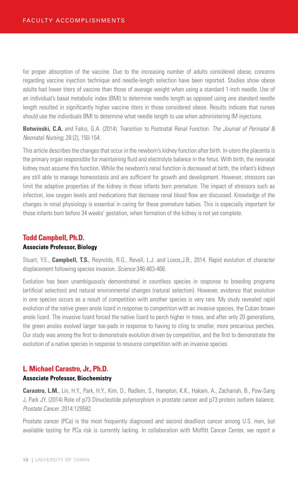for proper absorption of the vaccine. Due to the increasing number of adults considered obese, concerns regarding vaccine injection technique and needle-length selection have been reported. Studies show obese adults had lower titers of vaccine than those of average weight when using a standard 1-inch needle. Use of an individual's basal metabolic index (BMI) to determine needle length as opposed using one standard needle length resulted in significantly higher vaccine titers in those considered obese. Results indicate that nurses should use the individuals BMI to determine what needle length to use when administering IM injections.

**Botwinski, C.A.** and Falco, G.A. (2014). Transition to Postnatal Renal Function. *The Journal of Perinatal & Neonatal Nursing*, 28 (2), 150-154.

This article describes the changes that occur in the newborn's kidney function after birth. In-utero the placenta is the primary organ responsible for maintaining fluid and electrolyte balance in the fetus. With birth, the neonatal kidney must assume this function. While the newborn's renal function is decreased at birth, the infant's kidneys are still able to manage homeostasis and are sufficient for growth and development. However, stressors can limit the adaptive properties of the kidney in those infants born premature. The impact of stressors such as infection, low oxygen levels and medications that decrease renal blood flow are discussed. Knowledge of the changes in renal physiology is essential in caring for these premature babies. This is especially important for those infants born before 34 weeks' gestation, when formation of the kidney is not yet complete.

# **Todd Campbell, Ph.D.**

# **Associate Professor, Biology**

Stuart, Y.E., **Campbell, T.S.**, Reynolds, R.G., Revell, L.J. and Losos,J.B., 2014. Rapid evolution of character displacement following species invasion. *Science* 346:463-466.

Evolution has been unambiguously demonstrated in countless species in response to breeding programs (artificial selection) and natural environmental changes (natural selection). However, evidence that evolution in one species occurs as a result of competition with another species is very rare. My study revealed rapid evolution of the native green anole lizard in response to competition with an invasive species, the Cuban brown anole lizard. The invasive lizard forced the native lizard to perch higher in trees, and after only 20 generations, the green anoles evolved larger toe-pads in response to having to cling to smaller, more precarious perches. Our study was among the first to demonstrate evolution driven by competition, and the first to demonstrate the evolution of a native species in response to resource competition with an invasive species.

# **L. Michael Carastro, Jr., Ph.D.**

#### **Associate Professor, Biochemistry**

**Carastro, L.M.**, Lin, H.Y., Park, H.Y., Kim, D., Radlein, S., Hampton, K.K., Hakam, A., Zachariah, B., Pow-Sang J, Park JY. (2014) Role of p73 Dinucleotide polymorphism in prostate cancer and p73 protein isoform balance. *Prostate Cancer*. 2014:129582.

Prostate cancer (PCa) is the most frequently diagnosed and second deadliest cancer among U.S. men, but available testing for PCa risk is currently lacking. In collaboration with Moffitt Cancer Center, we report a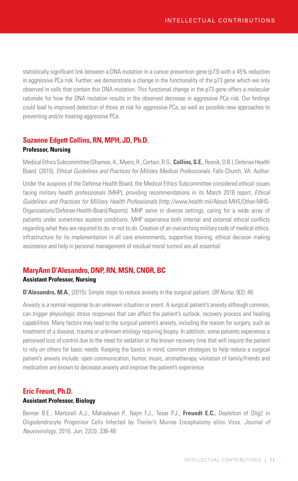statistically significant link between a DNA mutation in a cancer prevention gene (p73) with a 45% reduction in aggressive PCa risk. Further, we demonstrate a change in the functionality of the p73 gene which we only observed in cells that contain this DNA mutation. This functional change in the p73 gene offers a molecular rationale for how the DNA mutation results in the observed decrease in aggressive PCa risk. Our findings could lead to improved detection of those at risk for aggressive PCa, as well as possible new approaches to preventing and/or treating aggressive PCa.

# **Suzanne Edgett Collins, RN, MPH, JD, Ph.D.**

#### **Professor, Nursing**

Medical Ethics Subcommittee (Shamoo, A., Myers, R., Certain, R.G., **Collins, S.E.**, Resnik, D.B.), Defense Health Board. (2015). *Ethical Guidelines and Practices for Military Medical Professionals*. Falls Church, VA: Author.

Under the auspices of the Defense Health Board, the Medical Ethics Subcommittee considered ethical issues facing military health professionals (MHP), providing recommendations in its March 2016 report, *Ethical Guidelines and Practices for Military Health Professionals* (http://www.health.mil/About-MHS/Other-MHS-Organizations/Defense-Health-Board/Reports). MHP serve in diverse settings, caring for a wide array of patients under sometimes austere conditions. MHP experience both internal and external ethical conflicts regarding what they are required to do, or not to do. Creation of an overarching military code of medical ethics, infrastructure for its implementation in all care environments, supportive training, ethical decision making assistance and help in personal management of residual moral turmoil are all essential.

# **MaryAnn D'Alesandro, DNP, RN, MSN, CNOR, BC**

#### **Assistant Professor, Nursing**

**D'Alesandro, M.A.**, (2015). Simple steps to reduce anxiety in the surgical patient. *OR Nurse*, 9(2): 48.

Anxiety is a normal response to an unknown situation or event. A surgical patient's anxiety although common, can trigger physiologic stress responses that can affect the patient's outlook, recovery process and healing capabilities. Many factors may lead to the surgical patient's anxiety, including the reason for surgery, such as treatment of a disease, trauma or unknown etiology requiring biopsy. In addition, some patients experience a perceived loss of control due to the need for sedation or the known recovery time that will require the patient to rely on others for basic needs. Keeping the basics in mind, common strategies to help reduce a surgical patient's anxiety include: open communication, humor, music, aromatherapy, visitation of family/friends and medication are known to decrease anxiety and improve the patient's experience.

# **Eric Freunt, Ph.D. Assistant Professor, Biology**

Benner B.E., Martorell A.J., Mahadevan P., Najm F.J., Tesar P.J., **Freundt E.C.**, Depletion of Olig2 in Oligodendrocyte Progenitor Cells Infected by Theiler's Murine Encephalomy elitis Virus. *Journal of Neurovirology*, 2016. Jun; 22(3): 336-48.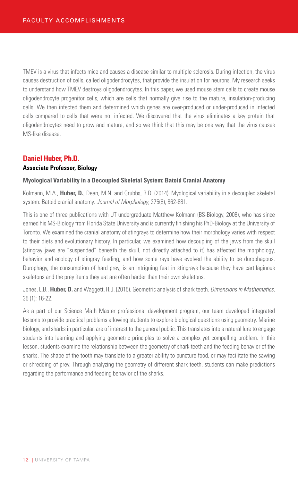TMEV is a virus that infects mice and causes a disease similar to multiple sclerosis. During infection, the virus causes destruction of cells, called oligodendrocytes, that provide the insulation for neurons. My research seeks to understand how TMEV destroys oligodendrocytes. In this paper, we used mouse stem cells to create mouse oligodendrocyte progenitor cells, which are cells that normally give rise to the mature, insulation-producing cells. We then infected them and determined which genes are over-produced or under-produced in infected cells compared to cells that were not infected. We discovered that the virus eliminates a key protein that oligodendrocytes need to grow and mature, and so we think that this may be one way that the virus causes MS-like disease.

# **Daniel Huber, Ph.D.**

#### **Associate Professor, Biology**

#### **Myological Variability in a Decoupled Skeletal System: Batoid Cranial Anatomy**

Kolmann, M.A., **Huber, D.**, Dean, M.N. and Grubbs, R.D. (2014). Myological variability in a decoupled skeletal system: Batoid cranial anatomy. *Journal of Morphology*, 275(8), 862-881.

This is one of three publications with UT undergraduate Matthew Kolmann (BS-Biology, 2008), who has since earned his MS-Biology from Florida State University and is currently finishing his PhD-Biology at the University of Toronto. We examined the cranial anatomy of stingrays to determine how their morphology varies with respect to their diets and evolutionary history. In particular, we examined how decoupling of the jaws from the skull (stingray jaws are "suspended" beneath the skull, not directly attached to it) has affected the morphology, behavior and ecology of stingray feeding, and how some rays have evolved the ability to be durophagous. Durophagy, the consumption of hard prey, is an intriguing feat in stingrays because they have cartilaginous skeletons and the prey items they eat are often harder than their own skeletons.

Jones, L.B., **Huber, D.** and Waggett, R.J. (2015). Geometric analysis of shark teeth. *Dimensions in Mathematics*, 35 (1): 16-22.

As a part of our Science Math Master professional development program, our team developed integrated lessons to provide practical problems allowing students to explore biological questions using geometry. Marine biology, and sharks in particular, are of interest to the general public. This translates into a natural lure to engage students into learning and applying geometric principles to solve a complex yet compelling problem. In this lesson, students examine the relationship between the geometry of shark teeth and the feeding behavior of the sharks. The shape of the tooth may translate to a greater ability to puncture food, or may facilitate the sawing or shredding of prey. Through analyzing the geometry of different shark teeth, students can make predictions regarding the performance and feeding behavior of the sharks.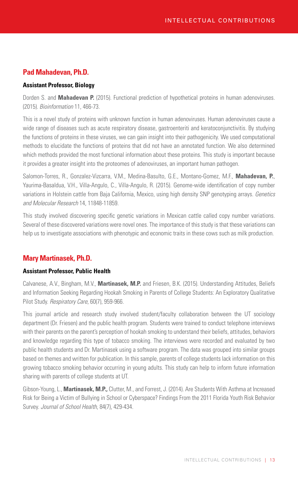# **Pad Mahadevan, Ph.D.**

#### **Assistant Professor, Biology**

Dorden S. and **Mahadevan P.** (2015). Functional prediction of hypothetical proteins in human adenoviruses. (2015). *Bioinformation* 11, 466-73.

This is a novel study of proteins with unknown function in human adenoviruses. Human adenoviruses cause a wide range of diseases such as acute respiratory disease, gastroenteriti and keratoconjunctivitis. By studying the functions of proteins in these viruses, we can gain insight into their pathogenicity. We used computational methods to elucidate the functions of proteins that did not have an annotated function. We also determined which methods provided the most functional information about these proteins. This study is important because it provides a greater insight into the proteomes of adenoviruses, an important human pathogen.

Salomon-Torres, R., Gonzalez-Vizcarra, V.M., Medina-Basulto, G.E., Montano-Gomez, M.F., **Mahadevan, P.**, Yaurima-Basaldua, V.H., Villa-Angulo, C., Villa-Angulo, R. (2015). Genome-wide identification of copy number variations in Holstein cattle from Baja California, Mexico, using high density SNP genotyping arrays. *Genetics and Molecular Research* 14, 11848-11859.

This study involved discovering specific genetic variations in Mexican cattle called copy number variations. Several of these discovered variations were novel ones. The importance of this study is that these variations can help us to investigate associations with phenotypic and economic traits in these cows such as milk production.

# **Mary Martinasek, Ph.D.**

#### **Assistant Professor, Public Health**

Calvanese, A.V., Bingham, M.V., **Martinasek, M.P.** and Friesen, B.K. (2015). Understanding Attitudes, Beliefs and Information Seeking Regarding Hookah Smoking in Parents of College Students: An Exploratory Qualitative Pilot Study. *Respiratory Care*, 60(7), 959-966.

This journal article and research study involved student/faculty collaboration between the UT sociology department (Dr. Friesen) and the public health program. Students were trained to conduct telephone interviews with their parents on the parent's perception of hookah smoking to understand their beliefs, attitudes, behaviors and knowledge regarding this type of tobacco smoking. The interviews were recorded and evaluated by two public health students and Dr. Martinasek using a software program. The data was grouped into similar groups based on themes and written for publication. In this sample, parents of college students lack information on this growing tobacco smoking behavior occurring in young adults. This study can help to inform future information sharing with parents of college students at UT.

Gibson-Young, L., **Martinasek, M.P.,** Clutter, M., and Forrest, J. (2014). Are Students With Asthma at Increased Risk for Being a Victim of Bullying in School or Cyberspace? Findings From the 2011 Florida Youth Risk Behavior Survey. *Journal of School Health*, 84(7), 429-434.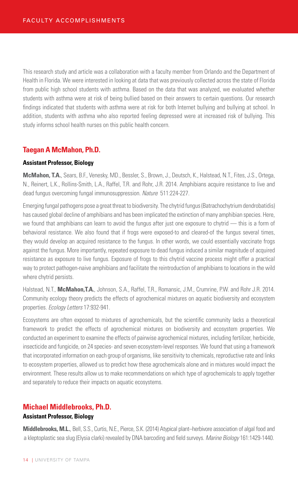This research study and article was a collaboration with a faculty member from Orlando and the Department of Health in Florida. We were interested in looking at data that was previously collected across the state of Florida from public high school students with asthma. Based on the data that was analyzed, we evaluated whether students with asthma were at risk of being bullied based on their answers to certain questions. Our research findings indicated that students with asthma were at risk for both Internet bullying and bullying at school. In addition, students with asthma who also reported feeling depressed were at increased risk of bullying. This study informs school health nurses on this public health concern.

# **Taegan A McMahon, Ph.D.**

#### **Assistant Professor, Biology**

**McMahon, T.A.**, Sears, B.F., Venesky, MD., Bessler, S., Brown, J., Deutsch, K., Halstead, N.T., Fites, J.S., Ortega, N., Reinert, L.K., Rollins-Smith, L.A., Raffel, T.R. and Rohr, J.R. 2014. Amphibians acquire resistance to live and dead fungus overcoming fungal immunosuppression. *Nature* 511:224-227.

Emerging fungal pathogens pose a great threat to biodiversity. The chytrid fungus (Batrachochytrium dendrobatidis) has caused global decline of amphibians and has been implicated the extinction of many amphibian species. Here, we found that amphibians can learn to avoid the fungus after just one exposure to chytrid — this is a form of behavioral resistance. We also found that if frogs were exposed-to and cleared-of the fungus several times, they would develop an acquired resistance to the fungus. In other words, we could essentially vaccinate frogs against the fungus. More importantly, repeated exposure to dead fungus induced a similar magnitude of acquired resistance as exposure to live fungus. Exposure of frogs to this chytrid vaccine process might offer a practical way to protect pathogen-naive amphibians and facilitate the reintroduction of amphibians to locations in the wild where chytrid persists.

Halstead, N.T., **McMahon,T.A.**, Johnson, S.A., Raffel, T.R., Romansic, J.M., Crumrine, P.W. and Rohr J.R. 2014. Community ecology theory predicts the effects of agrochemical mixtures on aquatic biodiversity and ecosystem properties. *Ecology Letters* 17:932-941.

Ecosystems are often exposed to mixtures of agrochemicals, but the scientific community lacks a theoretical framework to predict the effects of agrochemical mixtures on biodiversity and ecosystem properties. We conducted an experiment to examine the effects of pairwise agrochemical mixtures, including fertilizer, herbicide, insecticide and fungicide, on 24 species- and seven ecosystem-level responses. We found that using a framework that incorporated information on each group of organisms, like sensitivity to chemicals, reproductive rate and links to ecosystem properties, allowed us to predict how these agrochemicals alone and in mixtures would impact the environment. These results allow us to make recommendations on which type of agrochemicals to apply together and separately to reduce their impacts on aquatic ecosystems.

# **Michael Middlebrooks, Ph.D.**

#### **Assistant Professor, Biology**

**Middlebrooks, M.L.**, Bell, S.S., Curtis, N.E., Pierce, S.K. (2014) Atypical plant–herbivore association of algal food and a kleptoplastic sea slug (Elysia clarki) revealed by DNA barcoding and field surveys. *Marine Biology* 161:1429-1440.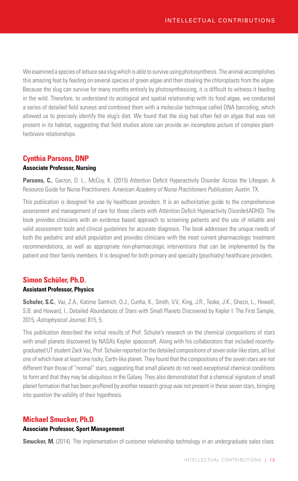We examined a species of lettuce sea slug which is able to survive using photosynthesis. The animal accomplishes this amazing feat by feeding on several species of green algae and then stealing the chloroplasts from the algae. Because the slug can survive for many months entirely by photosynthesizing, it is difficult to witness it feeding in the wild. Therefore, to understand its ecological and spatial relationship with its food algae, we conducted a series of detailed field surveys and combined them with a molecular technique called DNA barcoding, which allowed us to precisely identify the slug's diet. We found that the slug had often fed on algae that was not present in its habitat, suggesting that field studies alone can provide an incomplete picture of complex plantherbivore relationships.

# **Cynthia Parsons, DNP**

#### **Associate Professor, Nursing**

**Parsons, C.**, Garzon, D. L., McCoy, K. (2015) Attention Deficit Hyperactivity Disorder Across the Lifespan: A Resource Guide for Nurse Practitioners. A*merican Academy of Nurse Practitioners Publication*, Austin: TX.

This publication is designed for use by healthcare providers. It is an authoritative guide to the comprehensive assessment and management of care for those clients with Attention Deficit Hyperactivity Disorder(ADHD). The book provides clinicians with an evidence based approach to screening patients and the use of reliable and valid assessment tools and clinical guidelines for accurate diagnosis. The book addresses the unique needs of both the pediatric and adult population and provides clinicians with the most current pharmacologic treatment recommendations, as well as appropriate non-pharmacologic interventions that can be implemented by the patient and their family members. It is designed for both primary and specialty (psychiatry) healthcare providers.

# **Simon Schüler, Ph.D. Assistant Professor, Physics**

**Schuler, S.C.**, Vaz, Z.A., Katime Santrich, O.J., Cunha, K., Smith, V.V., King, J.R., Teske, J.K., Ghezzi, L., Howell, S.B. and Howard, I., Detailed Abundances of Stars with Small Planets Discovered by Kepler I: The First Sample, 2015, *Astrophysical Journal*, 815, 5.

This publication described the initial results of Prof. Schuler's research on the chemical compositions of stars with small planets discovered by NASA's Kepler spacecraft. Along with his collaborators that included recentlygraduated UT student Zack Vaz, Prof. Schuler reported on the detailed compositions of seven solar-like stars, all but one of which have at least one rocky, Earth-like planet. They found that the compositions of the seven stars are not different than those of "normal" stars, suggesting that small planets do not need exceptional chemical conditions to form and that they may be ubiquitous in the Galaxy. They also demonstrated that a chemical signature of small planet formation that has been proffered by another research group was not present in these seven stars, bringing into question the validity of their hypothesis.

# **Michael Smucker, Ph.D**.

#### **Associate Professor, Sport Management**

**Smucker, M.** (2014). The implementation of customer relationship technology in an undergraduate sales class.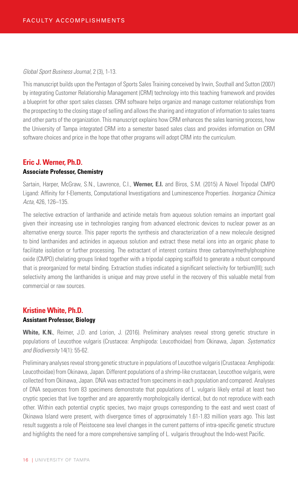*Global Sport Business Journal*, 2 (3), 1-13.

This manuscript builds upon the Pentagon of Sports Sales Training conceived by Irwin, Southall and Sutton (2007) by integrating Customer Relationship Management (CRM) technology into this teaching framework and provides a blueprint for other sport sales classes. CRM software helps organize and manage customer relationships from the prospecting to the closing stage of selling and allows the sharing and integration of information to sales teams and other parts of the organization. This manuscript explains how CRM enhances the sales learning process, how the University of Tampa integrated CRM into a semester based sales class and provides information on CRM software choices and price in the hope that other programs will adopt CRM into the curriculum.

# **Eric J. Werner, Ph.D.**

#### **Associate Professor, Chemistry**

Sartain, Harper, McGraw, S.N., Lawrence, C.I., **Werner, E.I.** and Biros, S.M. (2015) A Novel Tripodal CMPO Ligand: Affinity for f-Elements, Computational Investigations and Luminescence Properties. *Inorganica Chimica Acta*, 426, 126–135.

The selective extraction of lanthanide and actinide metals from aqueous solution remains an important goal given their increasing use in technologies ranging from advanced electronic devices to nuclear power as an alternative energy source. This paper reports the synthesis and characterization of a new molecule designed to bind lanthanides and actinides in aqueous solution and extract these metal ions into an organic phase to facilitate isolation or further processing. The extractant of interest contains three carbamoylmethylphosphine oxide (CMPO) chelating groups linked together with a tripodal capping scaffold to generate a robust compound that is preorganized for metal binding. Extraction studies indicated a significant selectivity for terbium(III); such selectivity among the lanthanides is unique and may prove useful in the recovery of this valuable metal from commercial or raw sources.

# **Kristine White, Ph.D. Assistant Professor, Biology**

White, K.N., Reimer, J.D. and Lorion, J. (2016). Preliminary analyses reveal strong genetic structure in populations of Leucothoe vulgaris (Crustacea: Amphipoda: Leucothoidae) from Okinawa, Japan. *Systematics and Biodiversity* 14(1): 55-62.

Preliminary analyses reveal strong genetic structure in populations of Leucothoe vulgaris (Crustacea: Amphipoda: Leucothoidae) from Okinawa, Japan. Different populations of a shrimp-like crustacean, Leucothoe vulgaris, were collected from Okinawa, Japan. DNA was extracted from specimens in each population and compared. Analyses of DNA sequences from 83 specimens demonstrate that populations of L. vulgaris likely entail at least two cryptic species that live together and are apparently morphologically identical, but do not reproduce with each other. Within each potential cryptic species, two major groups corresponding to the east and west coast of Okinawa Island were present, with divergence times of approximately 1.61-1.83 million years ago. This last result suggests a role of Pleistocene sea level changes in the current patterns of intra-specific genetic structure and highlights the need for a more comprehensive sampling of L. vulgaris throughout the Indo-west Pacific.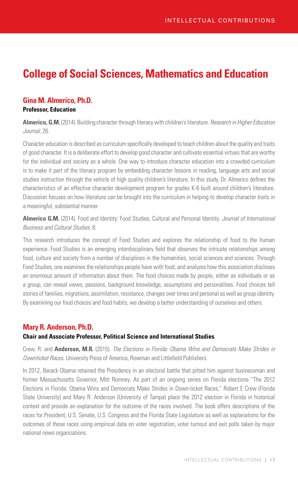# **College of Social Sciences, Mathematics and Education**

# **Gina M. Almerico, Ph.D.**

#### **Professor, Education**

**Almerico, G.M.** (2014). Building character through literacy with children's literature. *Research in Higher Education Journal*, 26.

Character education is described as curriculum specifically developed to teach children about the quality and traits of good character. It is a deliberate effort to develop good character and cultivate essential virtues that are worthy for the individual and society as a whole. One way to introduce character education into a crowded curriculum is to make it part of the literacy program by embedding character lessons in reading, language arts and social studies instruction through the vehicle of high quality children's literature. In this study, Dr. Almerico defines the characteristics of an effective character development program for grades K-6 built around children's literature. Discussion focuses on how literature can be brought into the curriculum in helping to develop character traits in a meaningful, substantial manner.

**Almerico G.M.** (2014). Food and Identity: Food Studies, Cultural and Personal Identity. *Journal of International Business and Cultural Studies.* 8.

This research introduces the concept of Food Studies and explores the relationship of food to the human experience. Food Studies is an emerging interdisciplinary field that observes the intricate relationships among food, culture and society from a number of disciplines in the humanities, social sciences and sciences. Through Food Studies, one examines the relationships people have with food, and analyzes how this association discloses an enormous amount of information about them. The food choices made by people, either as individuals or as a group, can reveal views, passions, background knowledge, assumptions and personalities. Food choices tell stories of families, migrations, assimilation, resistance, changes over times and personal as well as group identity. By examining our food choices and food habits, we develop a better understanding of ourselves and others.

# **Mary R. Anderson, Ph.D.**

#### **Chair and Associate Professor, Political Science and International Studies**

Crew, R. and **Anderson, M.R.** (2015). *The Elections in Florida: Obama Wins and Democrats Make Strides in Downticket Races*. University Press of America, Rowman and Littlefield Publishers.

In 2012, Barack Obama retained the Presidency in an electoral battle that pitted him against businessman and former Massachusetts Governor, Mitt Romney. As part of an ongoing series on Florida elections "The 2012 Elections in Florida: Obama Wins and Democrats Make Strides in Down-ticket Races," Robert E Crew (Florida State University) and Mary R. Anderson (University of Tampa) place the 2012 election in Florida in historical context and provide an explanation for the outcome of the races involved. The book offers descriptions of the races for President, U.S. Senate, U.S. Congress and the Florida State Legislature as well as explanations for the outcomes of these races using empirical data on voter registration, voter turnout and exit polls taken by major national news organizations.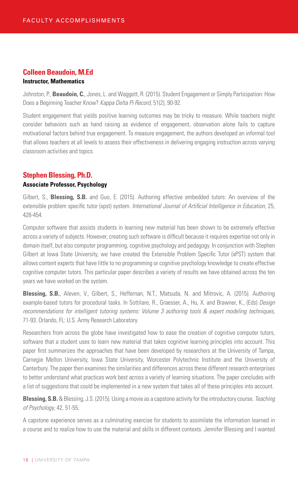# **Colleen Beaudoin, M.Ed Instructor, Mathematics**

Johnston, P., **Beaudoin, C.**, Jones, L. and Waggett, R. (2015). Student Engagement or Simply Participation: How Does a Beginning Teacher Know? *Kappa Delta Pi Record*, 51(2), 90-92.

Student engagement that yields positive learning outcomes may be tricky to measure. While teachers might consider behaviors such as hand raising as evidence of engagement, observation alone fails to capture motivational factors behind true engagement. To measure engagement, the authors developed an informal tool that allows teachers at all levels to assess their effectiveness in delivering engaging instruction across varying classroom activities and topics.

# **Stephen Blessing, Ph.D.**

# **Associate Professor, Psychology**

Gilbert, S., **Blessing, S.B.** and Guo, E. (2015). Authoring effective embedded tutors: An overview of the extensible problem specific tutor (xpst) system. *International Journal of Artificial Intelligence in Education*, 25, 428-454.

Computer software that assists students in learning new material has been shown to be extremely effective across a variety of subjects. However, creating such software is difficult because it requires expertise not only in domain itself, but also computer programming, cognitive psychology and pedagogy. In conjunction with Stephen Gilbert at Iowa State University, we have created the Extensible Problem Specific Tutor (xPST) system that allows content experts that have little to no programming or cognitive psychology knowledge to create effective cognitive computer tutors. This particular paper describes a variety of results we have obtained across the ten years we have worked on the system.

**Blessing, S.B.**, Aleven, V., Gilbert, S., Heffernan, N.T., Matsuda, N. and Mitrovic, A. (2015). Authoring example-based tutors for procedural tasks. In Sottilare, R., Graesser, A., Hu, X. and Brawner, K., (Eds) *Design recommendations for intelligent tutoring systems: Volume 3 authoring tools & expert modeling techniques*, 71-93. Orlando, FL: U.S. Army Research Laboratory.

Researchers from across the globe have investigated how to ease the creation of cognitive computer tutors, software that a student uses to learn new material that takes cognitive learning principles into account. This paper first summarizes the approaches that have been developed by researchers at the University of Tampa, Carnegie Mellon University, Iowa State University, Worcester Polytechnic Institute and the University of Canterbury. The paper then examines the similarities and differences across these different research enterprises to better understand what practices work best across a variety of learning situations. The paper concludes with a list of suggestions that could be implemented in a new system that takes all of these principles into account.

**Blessing, S.B.** & Blessing, J.S. (2015). Using a movie as a capstone activity for the introductory course. *Teaching of Psychology*, 42, 51-55.

A capstone experience serves as a culminating exercise for students to assimilate the information learned in a course and to realize how to use the material and skills in different contexts. Jennifer Blessing and I wanted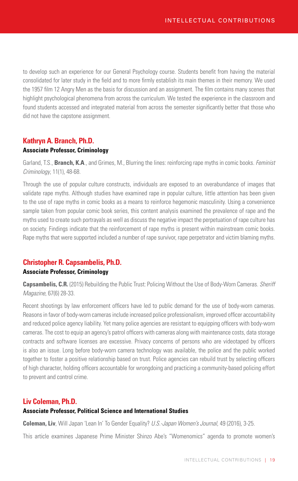to develop such an experience for our General Psychology course. Students benefit from having the material consolidated for later study in the field and to more firmly establish its main themes in their memory. We used the 1957 film 12 Angry Men as the basis for discussion and an assignment. The film contains many scenes that highlight psychological phenomena from across the curriculum. We tested the experience in the classroom and found students accessed and integrated material from across the semester significantly better that those who did not have the capstone assignment.

# **Kathryn A. Branch, Ph.D.**

#### **Associate Professor, Criminology**

Garland, T.S., **Branch, K.A**., and Grimes, M., Blurring the lines: reinforcing rape myths in comic books. *Feminist Criminology*, 11(1), 48-68.

Through the use of popular culture constructs, individuals are exposed to an overabundance of images that validate rape myths. Although studies have examined rape in popular culture, little attention has been given to the use of rape myths in comic books as a means to reinforce hegemonic masculinity. Using a convenience sample taken from popular comic book series, this content analysis examined the prevalence of rape and the myths used to create such portrayals as well as discuss the negative impact the perpetuation of rape culture has on society. Findings indicate that the reinforcement of rape myths is present within mainstream comic books. Rape myths that were supported included a number of rape survivor, rape perpetrator and victim blaming myths.

# **Christopher R. Capsambelis, Ph.D.**

#### **Associate Professor, Criminology**

**Capsambelis, C.R.** (2015) Rebuilding the Public Trust: Policing Without the Use of Body-Worn Cameras. *Sheriff Magazine*, 67(6) 28-33.

Recent shootings by law enforcement officers have led to public demand for the use of body-worn cameras. Reasons in favor of body-worn cameras include increased police professionalism, improved officer accountability and reduced police agency liability. Yet many police agencies are resistant to equipping officers with body-worn cameras. The cost to equip an agency's patrol officers with cameras along with maintenance costs, data storage contracts and software licenses are excessive. Privacy concerns of persons who are videotaped by officers is also an issue. Long before body-worn camera technology was available, the police and the public worked together to foster a positive relationship based on trust. Police agencies can rebuild trust by selecting officers of high character, holding officers accountable for wrongdoing and practicing a community-based policing effort to prevent and control crime.

# **Liv Coleman, Ph.D.**

# **Associate Professor, Political Science and International Studies**

**Coleman, Liv**, Will Japan 'Lean In' To Gender Equality? *U.S.-Japan Women's Journal,* 49 (2016), 3-25.

This article examines Japanese Prime Minister Shinzo Abe's "Womenomics" agenda to promote women's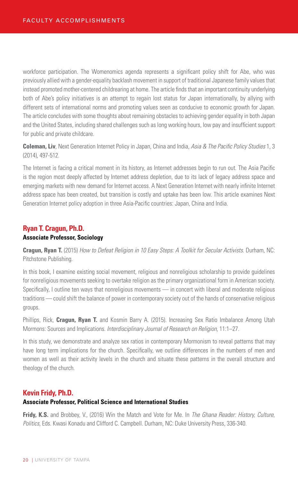workforce participation. The Womenomics agenda represents a significant policy shift for Abe, who was previously allied with a gender-equality backlash movement in support of traditional Japanese family values that instead promoted mother-centered childrearing at home. The article finds that an important continuity underlying both of Abe's policy initiatives is an attempt to regain lost status for Japan internationally, by allying with different sets of international norms and promoting values seen as conducive to economic growth for Japan. The article concludes with some thoughts about remaining obstacles to achieving gender equality in both Japan and the United States, including shared challenges such as long working hours, low pay and insufficient support for public and private childcare.

**Coleman, Liv**, Next Generation Internet Policy in Japan, China and India, *Asia & The Pacific Policy Studies* 1, 3 (2014), 497-512.

The Internet is facing a critical moment in its history, as Internet addresses begin to run out. The Asia Pacific is the region most deeply affected by Internet address depletion, due to its lack of legacy address space and emerging markets with new demand for Internet access. A Next Generation Internet with nearly infinite Internet address space has been created, but transition is costly and uptake has been low. This article examines Next Generation Internet policy adoption in three Asia-Pacific countries: Japan, China and India.

# **Ryan T. Cragun, Ph.D.**

#### **Associate Professor, Sociology**

**Cragun, Ryan T.** (2015) *How to Defeat Religion in 10 Easy Steps: A Toolkit for Secular Activists*. Durham, NC: Pitchstone Publishing.

In this book, I examine existing social movement, religious and nonreligious scholarship to provide guidelines for nonreligious movements seeking to overtake religion as the primary organizational form in American society. Specifically, I outline ten ways that nonreligious movements — in concert with liberal and moderate religious traditions — could shift the balance of power in contemporary society out of the hands of conservative religious groups.

Phillips, Rick, **Cragun, Ryan T.** and Kosmin Barry A. (2015). Increasing Sex Ratio Imbalance Among Utah Mormons: Sources and Implications. *Interdisciplinary Journal of Research on Religion,* 11:1–27.

In this study, we demonstrate and analyze sex ratios in contemporary Mormonism to reveal patterns that may have long term implications for the church. Specifically, we outline differences in the numbers of men and women as well as their activity levels in the church and situate these patterns in the overall structure and theology of the church.

# **Kevin Fridy, Ph.D.**

# **Associate Professor, Political Science and International Studies**

**Fridy, K.S.** and Brobbey, V., (2016) Win the Match and Vote for Me. In *The Ghana Reader: History, Culture, Politics*, Eds. Kwasi Konadu and Clifford C. Campbell. Durham, NC: Duke University Press, 336-340.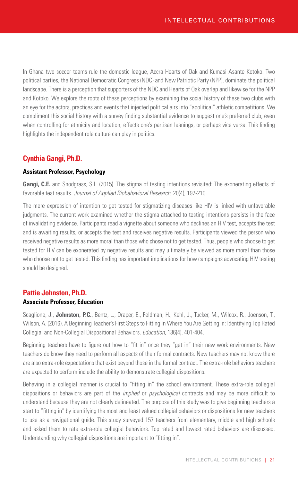In Ghana two soccer teams rule the domestic league, Accra Hearts of Oak and Kumasi Asante Kotoko. Two political parties, the National Democratic Congress (NDC) and New Patriotic Party (NPP), dominate the political landscape. There is a perception that supporters of the NDC and Hearts of Oak overlap and likewise for the NPP and Kotoko. We explore the roots of these perceptions by examining the social history of these two clubs with an eye for the actors, practices and events that injected political airs into "apolitical" athletic competitions. We compliment this social history with a survey finding substantial evidence to suggest one's preferred club, even when controlling for ethnicity and location, effects one's partisan leanings, or perhaps vice versa. This finding highlights the independent role culture can play in politics.

# **Cynthia Gangi, Ph.D.**

#### **Assistant Professor, Psychology**

**Gangi, C.E.** and Snodgrass, S.L. (2015). The stigma of testing intentions revisited: The exonerating effects of favorable test results. *Journal of Applied Biobehavioral Research*, 20(4), 197-210.

The mere expression of intention to get tested for stigmatizing diseases like HIV is linked with unfavorable judgments. The current work examined whether the stigma attached to testing intentions persists in the face of invalidating evidence. Participants read a vignette about someone who declines an HIV test, accepts the test and is awaiting results, or accepts the test and receives negative results. Participants viewed the person who received negative results as more moral than those who chose not to get tested. Thus, people who choose to get tested for HIV can be exonerated by negative results and may ultimately be viewed as more moral than those who choose not to get tested. This finding has important implications for how campaigns advocating HIV testing should be designed.

# **Pattie Johnston, Ph.D.**

#### **Associate Professor, Education**

Scaglione, J., **Johnston, P.C.**, Bentz, L., Draper, E., Feldman, H., Kehl, J., Tucker, M., Wilcox, R., Joenson, T., Wilson, A. (2016). A Beginning Teacher's First Steps to Fitting in Where You Are Getting In: Identifying Top Rated Collegial and Non-Collegial Dispositional Behaviors. *Education*, 136(4), 401-404.

Beginning teachers have to figure out how to "fit in" once they "get in" their new work environments. New teachers do know they need to perform all aspects of their formal contracts. New teachers may not know there are also extra-role expectations that exist beyond those in the formal contract. The extra-role behaviors teachers are expected to perform include the ability to demonstrate collegial dispositions.

Behaving in a collegial manner is crucial to "fitting in" the school environment. These extra-role collegial dispositions or behaviors are part of the *implied* or *psychological* contracts and may be more difficult to understand because they are not clearly delineated. The purpose of this study was to give beginning teachers a start to "fitting in" by identifying the most and least valued collegial behaviors or dispositions for new teachers to use as a navigational guide. This study surveyed 157 teachers from elementary, middle and high schools and asked them to rate extra-role collegial behaviors. Top rated and lowest rated behaviors are discussed. Understanding why collegial dispositions are important to "fitting in".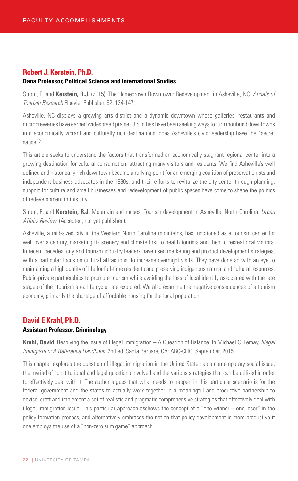# **Robert J. Kerstein, Ph.D.**

#### **Dana Professor, Political Science and International Studies**

Strom, E. and **Kerstein, R.J.** (2015). The Homegrown Downtown: Redevelopment in Asheville, NC. *Annals of Tourism Research* Elsevier Publisher, 52, 134-147.

Asheville, NC displays a growing arts district and a dynamic downtown whose galleries, restaurants and microbreweries have earned widespread praise. U.S. cities have been seeking ways to turn moribund downtowns into economically vibrant and culturally rich destinations; does Asheville's civic leadership have the "secret sauce"?

This article seeks to understand the factors that transformed an economically stagnant regional center into a growing destination for cultural consumption, attracting many visitors and residents. We find Asheville's well defined and historically rich downtown became a rallying point for an emerging coalition of preservationists and independent business advocates in the 1980s, and their efforts to revitalize the city center through planning, support for culture and small businesses and redevelopment of public spaces have come to shape the politics of redevelopment in this city.

Strom, E. and **Kerstein, R.J.** Mountain and muses: Tourism development in Asheville, North Carolina. *Urban Affairs Review*. (Accepted, not yet published).

Asheville, a mid-sized city in the Western North Carolina mountains, has functioned as a tourism center for well over a century, marketing its scenery and climate first to health tourists and then to recreational visitors. In recent decades, city and tourism industry leaders have used marketing and product development strategies, with a particular focus on cultural attractions, to increase overnight visits. They have done so with an eye to maintaining a high quality of life for full-time residents and preserving indigenous natural and cultural resources. Public-private partnerships to promote tourism while avoiding the loss of local identify associated with the late stages of the "tourism area life cycle" are explored. We also examine the negative consequences of a tourism economy, primarily the shortage of affordable housing for the local population.

# **David E Krahl, Ph.D. Assistant Professor, Criminology**

**Krahl, David**, Resolving the Issue of Illegal Immigration – A Question of Balance. In Michael C. Lemay, *Illegal Immigration: A Reference Handbook*. 2nd ed. Santa Barbara, CA: ABC-CLIO. September, 2015.

This chapter explores the question of illegal immigration in the United States as a contemporary social issue, the myriad of constitutional and legal questions involved and the various strategies that can be utilized in order to effectively deal with it. The author argues that what needs to happen in this particular scenario is for the federal government and the states to actually work together in a meaningful and productive partnership to devise, craft and implement a set of realistic and pragmatic comprehensive strategies that effectively deal with illegal immigration issue. This particular approach eschews the concept of a "one winner – one loser" in the policy formation process, and alternatively embraces the notion that policy development is more productive if one employs the use of a "non-zero sum game" approach.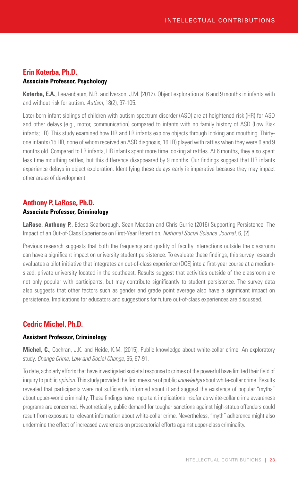# **Erin Koterba, Ph.D. Associate Professor, Psychology**

**Koterba, E.A.**, Leezenbaum, N.B. and Iverson, J.M. (2012). Object exploration at 6 and 9 months in infants with and without risk for autism. *Autism*, 18(2), 97-105.

Later-born infant siblings of children with autism spectrum disorder (ASD) are at heightened risk (HR) for ASD and other delays (e.g., motor, communication) compared to infants with no family history of ASD (Low Risk infants; LR). This study examined how HR and LR infants explore objects through looking and mouthing. Thirtyone infants (15 HR, none of whom received an ASD diagnosis; 16 LR) played with rattles when they were 6 and 9 months old. Compared to LR infants, HR infants spent more time looking at rattles. At 6 months, they also spent less time mouthing rattles, but this difference disappeared by 9 months. Our findings suggest that HR infants experience delays in object exploration. Identifying these delays early is imperative because they may impact other areas of development.

# **Anthony P. LaRose, Ph.D.**

# **Associate Professor, Criminology**

LaRose, Anthony P., Edesa Scarborough, Sean Maddan and Chris Gurrie (2016) Supporting Persistence: The Impact of an Out-of-Class Experience on First-Year Retention, *National Social Science Journal*, 6, (2).

Previous research suggests that both the frequency and quality of faculty interactions outside the classroom can have a significant impact on university student persistence. To evaluate these findings, this survey research evaluates a pilot initiative that integrates an out-of-class experience (OCE) into a first-year course at a mediumsized, private university located in the southeast. Results suggest that activities outside of the classroom are not only popular with participants, but may contribute significantly to student persistence. The survey data also suggests that other factors such as gender and grade point average also have a significant impact on persistence. Implications for educators and suggestions for future out-of-class experiences are discussed.

# **Cedric Michel, Ph.D.**

# **Assistant Professor, Criminology**

**Michel, C.**, Cochran, J.K. and Heide, K.M. (2015). Public knowledge about white-collar crime: An exploratory study. *Change Crime, Law and Social Change*, 65, 67-91.

To date, scholarly efforts that have investigated societal response to crimes of the powerful have limited their field of inquiry to public *opinion*. This study provided the first measure of public *knowledge* about white-collar crime. Results revealed that participants were not sufficiently informed about it and suggest the existence of popular "myths" about upper-world criminality. These findings have important implications insofar as white-collar crime awareness programs are concerned. Hypothetically, public demand for tougher sanctions against high-status offenders could result from exposure to relevant information about white-collar crime. Nevertheless, "myth" adherence might also undermine the effect of increased awareness on prosecutorial efforts against upper-class criminality.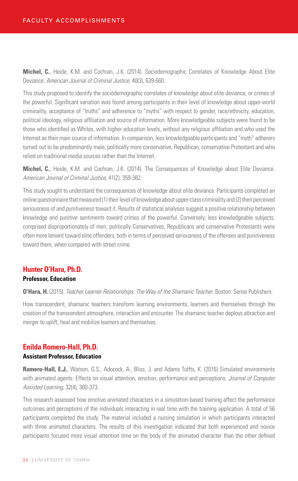**Michel, C.**, Heide, K.M. and Cochran, J.K. (2014). Sociodemographic Correlates of Knowledge About Elite Deviance. *American Journal of Criminal Justice*, 40(3), 639-660.

This study proposed to identify the sociodemographic correlates of knowledge about elite deviance, or crimes of the powerful. Significant variation was found among participants in their level of knowledge about upper-world criminality, acceptance of "truths" and adherence to "myths" with respect to gender, race/ethnicity, education, political ideology, religious affiliation and source of information. More knowledgeable subjects were found to be those who identified as Whites, with higher education levels, without any religious affiliation and who used the Internet as their main source of information. In comparison, less knowledgeable participants and "myth" adherers turned out to be predominantly male, politically more conservative, Republican, conservative Protestant and who relied on traditional media sources rather than the Internet.

**Michel, C.**, Heide, K.M. and Cochran, J.K. (2014). The Consequences of Knowledge about Elite Deviance. *American Journal of Criminal Justice*, 41(2), 359-382.

This study sought to understand the consequences of knowledge about elite deviance. Participants completed an online questionnaire that measured (1) their level of knowledge about upper-class criminality and (2) their perceived seriousness of and punitiveness toward it. Results of statistical analyses suggest a positive relationship between knowledge and punitive sentiments toward crimes of the powerful. Conversely, less knowledgeable subjects, comprised disproportionately of men, politically Conservatives, Republicans and conservative Protestants were often more lenient toward elite offenders, both in terms of perceived seriousness of the offenses and punitiveness toward them, when compared with street crime.

# **Hunter O'Hara, Ph.D.**

# **Professor, Education**

**O'Hara, H.** (2015). *Teacher Learner Relationships: The Way of the Shamanic Teacher*. Boston: Sense Publishers.

How transcendent, shamanic teachers transform learning environments, learners and themselves through the creation of the transcendent atmosphere, interaction and encounter. The shamanic teacher deploys attraction and merger to uplift, heal and mobilize learners and themselves.

# **Enilda Romero-Hall, Ph.D.**

#### **Assistant Professor, Education**

**Romero-Hall, E.J.**, Watson, G.S., Adocock, A., Bliss, J. and Adams Tutfts, K. (2016) Simulated environments with animated agents: Effects on visual attention, emotion, performance and perceptions. *Journal of Computer Assisted Learning*, 32(4), 360-373.

This research assessed how emotive animated characters in a simulation-based training affect the performance outcomes and perceptions of the individuals interacting in real time with the training application. A total of 56 participants completed the study. The material included a nursing simulation in which participants interacted with three animated characters. The results of this investigation indicated that both experienced and novice participants focused more visual attention time on the body of the animated character than the other defined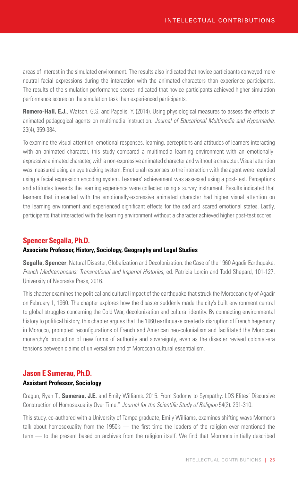areas of interest in the simulated environment. The results also indicated that novice participants conveyed more neutral facial expressions during the interaction with the animated characters than experience participants. The results of the simulation performance scores indicated that novice participants achieved higher simulation performance scores on the simulation task than experienced participants.

**Romero-Hall, E.J.**, Watson, G.S. and Papelis, Y. (2014). Using physiological measures to assess the effects of animated pedagogical agents on multimedia instruction. *Journal of Educational Multimedia and Hypermedia*, 23(4), 359-384.

To examine the visual attention, emotional responses, learning, perceptions and attitudes of learners interacting with an animated character, this study compared a multimedia learning environment with an emotionallyexpressive animated character, with a non-expressive animated character and without a character. Visual attention was measured using an eye tracking system. Emotional responses to the interaction with the agent were recorded using a facial expression encoding system. Learners' achievement was assessed using a post-test. Perceptions and attitudes towards the learning experience were collected using a survey instrument. Results indicated that learners that interacted with the emotionally-expressive animated character had higher visual attention on the learning environment and experienced significant effects for the sad and scared emotional states. Lastly, participants that interacted with the learning environment without a character achieved higher post-test scores.

# **Spencer Segalla, Ph.D.**

#### **Associate Professor, History, Sociology, Geography and Legal Studies**

**Segalla, Spencer**, Natural Disaster, Globalization and Decolonization: the Case of the 1960 Agadir Earthquake. *French Mediterraneans: Transnational and Imperial Histories*, ed. Patricia Lorcin and Todd Shepard, 101-127. University of Nebraska Press, 2016.

This chapter examines the political and cultural impact of the earthquake that struck the Moroccan city of Agadir on February 1, 1960. The chapter explores how the disaster suddenly made the city's built environment central to global struggles concerning the Cold War, decolonization and cultural identity. By connecting environmental history to political history, this chapter argues that the 1960 earthquake created a disruption of French hegemony in Morocco, prompted reconfigurations of French and American neo-colonialism and facilitated the Moroccan monarchy's production of new forms of authority and sovereignty, even as the disaster revived colonial-era tensions between claims of universalism and of Moroccan cultural essentialism.

# **Jason E Sumerau, Ph.D.**

#### **Assistant Professor, Sociology**

Cragun, Ryan T., **Sumerau, J.E.** and Emily Williams. 2015. From Sodomy to Sympathy: LDS Elites' Discursive Construction of Homosexuality Over Time." *Journal for the Scientific Study of Religion* 54(2): 291-310.

This study, co-authored with a University of Tampa graduate, Emily Williams, examines shifting ways Mormons talk about homosexuality from the 1950's  $-$  the first time the leaders of the religion ever mentioned the term — to the present based on archives from the religion itself. We find that Mormons initially described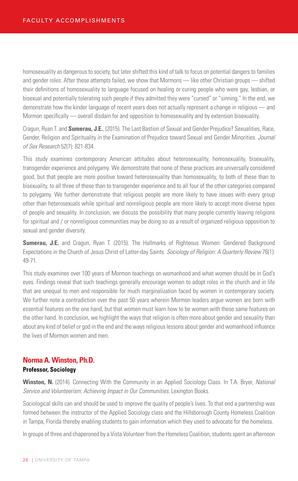homosexuality as dangerous to society, but later shifted this kind of talk to focus on potential dangers to families and gender roles. After these attempts failed, we show that Mormons — like other Christian groups — shifted their definitions of homosexuality to language focused on healing or curing people who were gay, lesbian, or bisexual and potentially tolerating such people if they admitted they were "cursed" or "sinning." In the end, we demonstrate how the kinder language of recent years does not actually represent a change in religious — and Mormon specifically — overall disdain for and opposition to homosexuality and by extension bisexuality.

Cragun, Ryan T. and **Sumerau, J.E.**, (2015). The Last Bastion of Sexual and Gender Prejudice? Sexualities, Race, Gender, Religion and Spirituality in the Examination of Prejudice toward Sexual and Gender Minorities. *Journal of Sex Research* 52(7): 821-834.

This study examines contemporary American attitudes about heterosexuality, homosexuality, bisexuality, transgender experience and polygamy. We demonstrate that none of these practices are universally considered good, but that people are more positive toward heterosexuality than homosexuality, to both of these than to bisexuality, to all three of these than to transgender experience and to all four of the other categories compared to polygamy. We further demonstrate that religious people are more likely to have issues with every group other than heterosexuals while spiritual and nonreligious people are more likely to accept more diverse types of people and sexuality. In conclusion, we discuss the possibility that many people currently leaving religions for spiritual and / or nonreligious communities may be doing so as a result of organized religious opposition to sexual and gender diversity.

**Sumerau, J.E.** and Cragun, Ryan T. (2015). The Hallmarks of Righteous Women: Gendered Background Expectations in the Church of Jesus Christ of Latter-day Saints. *Sociology of Religion: A Quarterly Review* 76(1): 49-71.

This study examines over 100 years of Mormon teachings on womanhood and what women should be in God's eyes. Findings reveal that such teachings generally encourage women to adopt roles in the church and in life that are unequal to men and responsible for much marginalization faced by women in contemporary society. We further note a contradiction over the past 50 years wherein Mormon leaders argue women are born with essential features on the one hand, but that women must learn how to be women with these same features on the other hand. In conclusion, we highlight the ways that religion is often more about gender and sexuality than about any kind of belief or god in the end and the ways religious lessons about gender and womanhood influence the lives of Mormon women and men.

# **Norma A. Winston, Ph.D. Professor, Sociology**

**Winston, N.** (2014). Connecting With the Community in an Applied Sociology Class. In T.A. Bryer, *National Service and Volunteerism: Achieving Impact in Our Communities*. Lexington Books.

Sociological skills can and should be used to improve the quality of people's lives. To that end a partnership was formed between the instructor of the Applied Sociology class and the Hillsborough County Homeless Coalition in Tampa, Florida thereby enabling students to gain information which they used to advocate for the homeless.

In groups of three and chaperoned by a Vista Volunteer from the Homeless Coalition, students spent an afternoon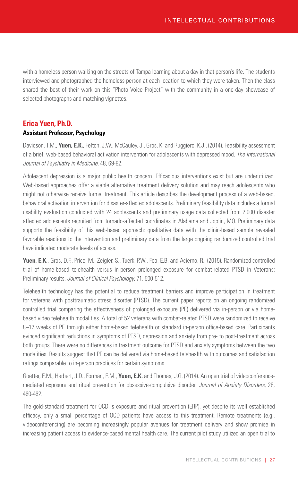with a homeless person walking on the streets of Tampa learning about a day in that person's life. The students interviewed and photographed the homeless person at each location to which they were taken. Then the class shared the best of their work on this "Photo Voice Project" with the community in a one-day showcase of selected photographs and matching vignettes.

#### **Erica Yuen, Ph.D.**

#### **Assistant Professor, Psychology**

Davidson, T.M., **Yuen, E.K.**, Felton, J.W., McCauley, J., Gros, K. and Ruggiero, K.J., (2014). Feasibility assessment of a brief, web-based behavioral activation intervention for adolescents with depressed mood. *The International Journal of Psychiatry in Medicine*, 48, 69-82.

Adolescent depression is a major public health concern. Efficacious interventions exist but are underutilized. Web-based approaches offer a viable alternative treatment delivery solution and may reach adolescents who might not otherwise receive formal treatment. This article describes the development process of a web-based, behavioral activation intervention for disaster-affected adolescents. Preliminary feasibility data includes a formal usability evaluation conducted with 24 adolescents and preliminary usage data collected from 2,000 disaster affected adolescents recruited from tornado-affected coordinates in Alabama and Joplin, MO. Preliminary data supports the feasibility of this web-based approach: qualitative data with the clinic-based sample revealed favorable reactions to the intervention and preliminary data from the large ongoing randomized controlled trial have indicated moderate levels of access.

**Yuen, E.K.**, Gros, D.F., Price, M., Zeigler, S., Tuerk, P.W., Foa, E.B. and Acierno, R., (2015). Randomized controlled trial of home-based telehealth versus in-person prolonged exposure for combat-related PTSD in Veterans: Preliminary results. *Journal of Clinical Psychology*, 71, 500-512.

Telehealth technology has the potential to reduce treatment barriers and improve participation in treatment for veterans with posttraumatic stress disorder (PTSD). The current paper reports on an ongoing randomized controlled trial comparing the effectiveness of prolonged exposure (PE) delivered via in-person or via homebased video telehealth modalities. A total of 52 veterans with combat-related PTSD were randomized to receive 8–12 weeks of PE through either home-based telehealth or standard in-person office-based care. Participants evinced significant reductions in symptoms of PTSD, depression and anxiety from pre- to post-treatment across both groups. There were no differences in treatment outcome for PTSD and anxiety symptoms between the two modalities. Results suggest that PE can be delivered via home-based telehealth with outcomes and satisfaction ratings comparable to in-person practices for certain symptoms.

Goetter, E.M., Herbert, J.D., Forman, E.M., **Yuen, E.K.** and Thomas, J.G. (2014). An open trial of videoconferencemediated exposure and ritual prevention for obsessive-compulsive disorder. *Journal of Anxiety Disorders*, 28, 460-462.

The gold-standard treatment for OCD is exposure and ritual prevention (ERP), yet despite its well established efficacy, only a small percentage of OCD patients have access to this treatment. Remote treatments (e.g., videoconferencing) are becoming increasingly popular avenues for treatment delivery and show promise in increasing patient access to evidence-based mental health care. The current pilot study utilized an open trial to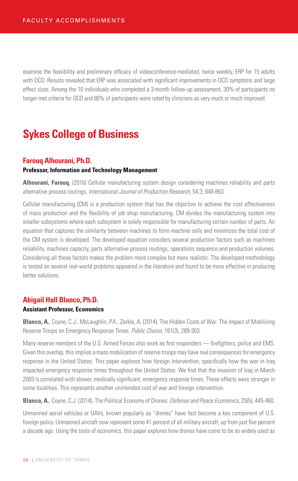examine the feasibility and preliminary efficacy of videoconference-mediated, twice weekly, ERP for 15 adults with OCD. Results revealed that ERP was associated with significant improvements in OCD symptoms and large effect sizes. Among the 10 individuals who completed a 3-month follow-up assessment, 30% of participants no longer met criteria for OCD and 80% of participants were rated by clinicians as very much or much improved.

# **Sykes College of Business**

#### **Farouq Alhourani, Ph.D.**

#### **Professor, Information and Technology Management**

**Alhourani, Farouq**, (2016) Cellular manufacturing system design considering machines reliability and parts alternative process routings, *International Journal of Production Research*, 54:3, 846-863.

Cellular manufacturing (CM) is a production system that has the objective to achieve the cost effectiveness of mass production and the flexibility of job shop manufacturing. CM divides the manufacturing system into smaller subsystems where each subsystem is solely responsible for manufacturing certain number of parts. An equation that captures the similarity between machines to form machine cells and minimizes the total cost of the CM system is developed. The developed equation considers several production factors such as machines reliability, machines capacity, parts alternative process routings, operations sequence and production volumes. Considering all these factors makes the problem more complex but more realistic. The developed methodology is tested on several real-world problems appeared in the literature and found to be more effective in producing better solutions.

#### **Abigail Hall Blanco, Ph.D.**

# **Assistant Professor, Economics**

**Blanco, A.**, Coyne, C.J., McLaughlin, P.A., Zerkle, A. (2014). The Hidden Costs of War: The Impact of Mobilizing Reserve Troops on Emergency Response Times. *Public Choice*, 161(3), 289-303.

Many reserve members of the U.S. Armed Forces also work as first responders — firefighters, police and EMS. Given this overlap, this implies a mass mobilization of reserve troops may have real consequences for emergency response in the United States. This paper explores how foreign intervention, specifically how the war in Iraq impacted emergency response times throughout the United States. We find that the invasion of Iraq in March 2003 is correlated with slower, medically significant, emergency response times. These effects were stronger in some localities. This represents another unintended cost of war and foreign intervention.

**Blanco, A.**, Coyne, C.J. (2014). The Political Economy of Drones. *Defense and Peace Economics*, 25(5), 445-460.

Unmanned aerial vehicles or UAVs, known popularly as "drones" have fast become a key component of U.S. foreign policy. Unmanned aircraft now represent some 41 percent of all military aircraft, up from just five percent a decade ago. Using the tools of economics, this paper explores how drones have come to be so widely used as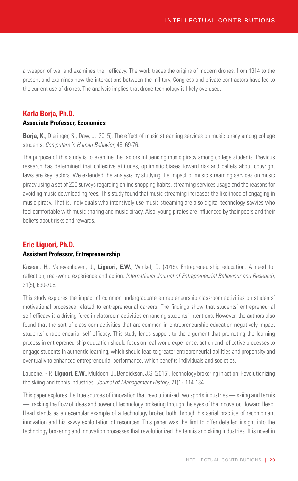a weapon of war and examines their efficacy. The work traces the origins of modern drones, from 1914 to the present and examines how the interactions between the military, Congress and private contractors have led to the current use of drones. The analysis implies that drone technology is likely overused.

# **Karla Borja, Ph.D.**

#### **Associate Professor, Economics**

**Borja, K.**, Dieringer, S., Daw, J. (2015). The effect of music streaming services on music piracy among college students. *Computers in Human Behavior*, 45, 69-76.

The purpose of this study is to examine the factors influencing music piracy among college students. Previous research has determined that collective attitudes, optimistic biases toward risk and beliefs about copyright laws are key factors. We extended the analysis by studying the impact of music streaming services on music piracy using a set of 200 surveys regarding online shopping habits, streaming services usage and the reasons for avoiding music downloading fees. This study found that music streaming increases the likelihood of engaging in music piracy. That is, individuals who intensively use music streaming are also digital technology savvies who feel comfortable with music sharing and music piracy. Also, young pirates are influenced by their peers and their beliefs about risks and rewards.

# **Eric Liguori, Ph.D.**

#### **Assistant Professor, Entrepreneurship**

Kasean, H., Vanevenhoven, J., **Liguori, E.W.**, Winkel, D. (2015). Entrepreneurship education: A need for reflection, real-world experience and action. *International Journal of Entrepreneurial Behaviour and Research*, 21(5), 690-708.

This study explores the impact of common undergraduate entrepreneurship classroom activities on students' motivational processes related to entrepreneurial careers. The findings show that students' entrepreneurial self-efficacy is a driving force in classroom activities enhancing students' intentions. However, the authors also found that the sort of classroom activities that are common in entrepreneurship education negatively impact students' entrepreneurial self-efficacy. This study lends support to the argument that promoting the learning process in entrepreneurship education should focus on real-world experience, action and reflective processes to engage students in authentic learning, which should lead to greater entrepreneurial abilities and propensity and eventually to enhanced entrepreneurial performance, which benefits individuals and societies.

Laudone, R.P., **Liguori, E.W.**, Muldoon, J., Bendickson, J.S. (2015). Technology brokering in action: Revolutionizing the skiing and tennis industries. *Journal of Management History*, 21(1), 114-134.

This paper explores the true sources of innovation that revolutionized two sports industries — skiing and tennis — tracking the flow of ideas and power of technology brokering through the eyes of the innovator, Howard Head. Head stands as an exemplar example of a technology broker, both through his serial practice of recombinant innovation and his savvy exploitation of resources. This paper was the first to offer detailed insight into the technology brokering and innovation processes that revolutionized the tennis and skiing industries. It is novel in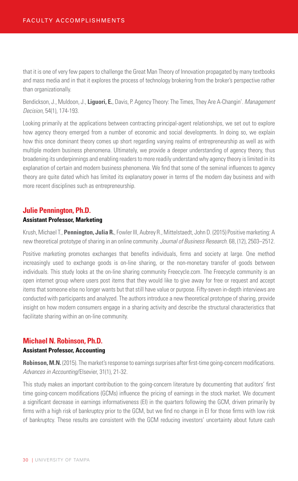that it is one of very few papers to challenge the Great Man Theory of Innovation propagated by many textbooks and mass media and in that it explores the process of technology brokering from the broker's perspective rather than organizationally.

Bendickson, J., Muldoon, J., **Liguori, E.**, Davis, P. Agency Theory: The Times, They Are A-Changin'. *Management Decision*, 54(1), 174-193.

Looking primarily at the applications between contracting principal-agent relationships, we set out to explore how agency theory emerged from a number of economic and social developments. In doing so, we explain how this once dominant theory comes up short regarding varying realms of entrepreneurship as well as with multiple modern business phenomena. Ultimately, we provide a deeper understanding of agency theory, thus broadening its underpinnings and enabling readers to more readily understand why agency theory is limited in its explanation of certain and modern business phenomena. We find that some of the seminal influences to agency theory are quite dated which has limited its explanatory power in terms of the modern day business and with more recent disciplines such as entrepreneurship.

# **Julie Pennington, Ph.D.**

#### **Assistant Professor, Marketing**

Krush, Michael T., **Pennington, Julia R.**, Fowler III, Aubrey R., Mittelstaedt, John D. (2015) Positive marketing: A new theoretical prototype of sharing in an online community. *Journal of Business Research*. 68, (12), 2503–2512.

Positive marketing promotes exchanges that benefits individuals, firms and society at large. One method increasingly used to exchange goods is on-line sharing, or the non-monetary transfer of goods between individuals. This study looks at the on-line sharing community Freecycle.com. The Freecycle community is an open internet group where users post items that they would like to give away for free or request and accept items that someone else no longer wants but that still have value or purpose. Fifty-seven in-depth interviews are conducted with participants and analyzed. The authors introduce a new theoretical prototype of sharing, provide insight on how modern consumers engage in a sharing activity and describe the structural characteristics that facilitate sharing within an on-line community.

# **Michael N. Robinson, Ph.D.**

#### **Assistant Professor, Accounting**

**Robinson, M.N.** (2015). The market's response to earnings surprises after first-time going-concern modifications. *Advances in Accounting*/Elsevier, 31(1), 21-32.

This study makes an important contribution to the going-concern literature by documenting that auditors' first time going-concern modifications (GCMs) influence the pricing of earnings in the stock market. We document a significant decrease in earnings informativeness (EI) in the quarters following the GCM, driven primarily by firms with a high risk of bankruptcy prior to the GCM, but we find no change in EI for those firms with low risk of bankruptcy. These results are consistent with the GCM reducing investors' uncertainty about future cash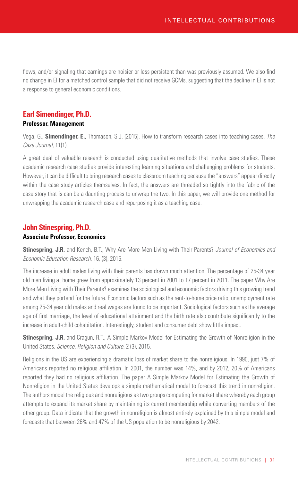flows, and/or signaling that earnings are noisier or less persistent than was previously assumed. We also find no change in EI for a matched control sample that did not receive GCMs, suggesting that the decline in EI is not a response to general economic conditions.

# **Earl Simendinger, Ph.D.**

#### **Professor, Management**

Vega, G., **Simendinger, E.**, Thomason, S.J. (2015). How to transform research cases into teaching cases. *The Case Journal*, 11(1).

A great deal of valuable research is conducted using qualitative methods that involve case studies. These academic research case studies provide interesting learning situations and challenging problems for students. However, it can be difficult to bring research cases to classroom teaching because the "answers" appear directly within the case study articles themselves. In fact, the answers are threaded so tightly into the fabric of the case story that is can be a daunting process to unwrap the two. In this paper, we will provide one method for unwrapping the academic research case and repurposing it as a teaching case.

# **John Stinespring, Ph.D.**

#### **Associate Professor, Economics**

**Stinespring, J.R.** and Kench, B.T., Why Are More Men Living with Their Parents? *Journal of Economics and Economic Education Research*, 16, (3), 2015.

The increase in adult males living with their parents has drawn much attention. The percentage of 25-34 year old men living at home grew from approximately 13 percent in 2001 to 17 percent in 2011. The paper Why Are More Men Living with Their Parents? examines the sociological and economic factors driving this growing trend and what they portend for the future. Economic factors such as the rent-to-home price ratio, unemployment rate among 25-34 year old males and real wages are found to be important. Sociological factors such as the average age of first marriage, the level of educational attainment and the birth rate also contribute significantly to the increase in adult-child cohabitation. Interestingly, student and consumer debt show little impact.

**Stinespring, J.R.** and Cragun, R.T., A Simple Markov Model for Estimating the Growth of Nonreligion in the United States. *Science, Religion and Culture*, 2 (3), 2015.

Religions in the US are experiencing a dramatic loss of market share to the nonreligious. In 1990, just 7% of Americans reported no religious affiliation. In 2001, the number was 14%, and by 2012, 20% of Americans reported they had no religious affiliation. The paper A Simple Markov Model for Estimating the Growth of Nonreligion in the United States develops a simple mathematical model to forecast this trend in nonreligion. The authors model the religious and nonreligious as two groups competing for market share whereby each group attempts to expand its market share by maintaining its current membership while converting members of the other group. Data indicate that the growth in nonreligion is almost entirely explained by this simple model and forecasts that between 26% and 47% of the US population to be nonreligious by 2042.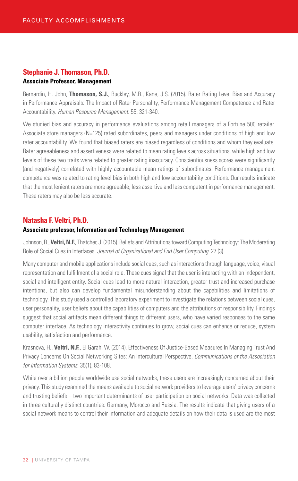# **Stephanie J. Thomason, Ph.D. Associate Professor, Management**

Bernardin, H. John, **Thomason, S.J.**, Buckley, M.R., Kane, J.S. (2015). Rater Rating Level Bias and Accuracy in Performance Appraisals: The Impact of Rater Personality, Performance Management Competence and Rater Accountability. *Human Resource Management*. 55, 321-340.

We studied bias and accuracy in performance evaluations among retail managers of a Fortune 500 retailer. Associate store managers (N=125) rated subordinates, peers and managers under conditions of high and low rater accountability. We found that biased raters are biased regardless of conditions and whom they evaluate. Rater agreeableness and assertiveness were related to mean rating levels across situations, while high and low levels of these two traits were related to greater rating inaccuracy. Conscientiousness scores were significantly (and negatively) correlated with highly accountable mean ratings of subordinates. Performance management competence was related to rating level bias in both high and low accountability conditions. Our results indicate that the most lenient raters are more agreeable, less assertive and less competent in performance management. These raters may also be less accurate.

# **Natasha F. Veltri, Ph.D.**

#### **Associate professor, Information and Technology Management**

Johnson, R., **Veltri, N.F.**, Thatcher, J. (2015). Beliefs and Attributions toward Computing Technology: The Moderating Role of Social Cues in Interfaces. *Journal of Organizational and End User Computing*. 27 (3).

Many computer and mobile applications include social cues, such as interactions through language, voice, visual representation and fulfillment of a social role. These cues signal that the user is interacting with an independent, social and intelligent entity. Social cues lead to more natural interaction, greater trust and increased purchase intentions, but also can develop fundamental misunderstanding about the capabilities and limitations of technology. This study used a controlled laboratory experiment to investigate the relations between social cues, user personality, user beliefs about the capabilities of computers and the attributions of responsibility. Findings suggest that social artifacts mean different things to different users, who have varied responses to the same computer interface. As technology interactivity continues to grow, social cues can enhance or reduce, system usability, satisfaction and performance.

Krasnova, H., **Veltri, N.F.**, El Garah, W. (2014). Effectiveness Of Justice-Based Measures In Managing Trust And Privacy Concerns On Social Networking Sites: An Intercultural Perspective. *Communications of the Association for Information Systems*, 35(1), 83-108.

While over a billion people worldwide use social networks, these users are increasingly concerned about their privacy. This study examined the means available to social network providers to leverage users' privacy concerns and trusting beliefs – two important determinants of user participation on social networks. Data was collected in three culturally distinct countries: Germany, Morocco and Russia. The results indicate that giving users of a social network means to control their information and adequate details on how their data is used are the most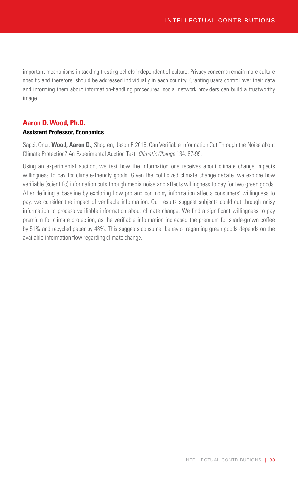important mechanisms in tackling trusting beliefs independent of culture. Privacy concerns remain more culture specific and therefore, should be addressed individually in each country. Granting users control over their data and informing them about information-handling procedures, social network providers can build a trustworthy image.

# **Aaron D. Wood, Ph.D.**

#### **Assistant Professor, Economics**

Sapci, Onur, **Wood, Aaron D.**, Shogren, Jason F. 2016. Can Verifiable Information Cut Through the Noise about Climate Protection? An Experimental Auction Test. *Climatic Change* 134: 87-99.

Using an experimental auction, we test how the information one receives about climate change impacts willingness to pay for climate-friendly goods. Given the politicized climate change debate, we explore how verifiable (scientific) information cuts through media noise and affects willingness to pay for two green goods. After defining a baseline by exploring how pro and con noisy information affects consumers' willingness to pay, we consider the impact of verifiable information. Our results suggest subjects could cut through noisy information to process verifiable information about climate change. We find a significant willingness to pay premium for climate protection, as the verifiable information increased the premium for shade-grown coffee by 51% and recycled paper by 48%. This suggests consumer behavior regarding green goods depends on the available information flow regarding climate change.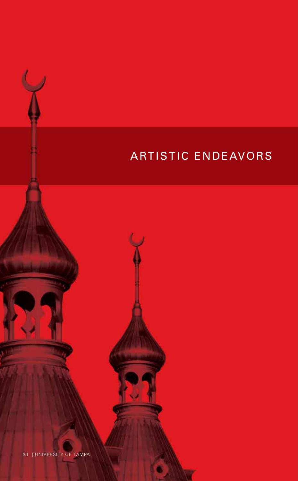# ARTISTIC ENDEAVORS

34 | UNIVERSITY OF TAMPA

رب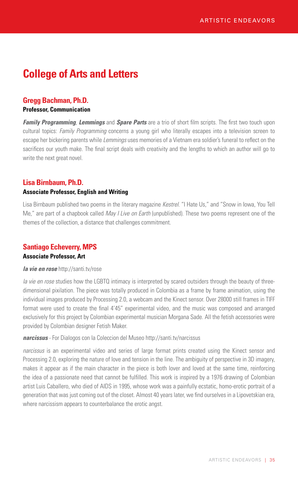# **College of Arts and Letters**

# **Gregg Bachman, Ph.D.**

#### **Professor, Communication**

*Family Programming*, *Lemmings* and *Spare Parts* are a trio of short film scripts. The first two touch upon cultural topics: *Family Programming* concerns a young girl who literally escapes into a television screen to escape her bickering parents while *Lemmings* uses memories of a Vietnam era soldier's funeral to reflect on the sacrifices our youth make. The final script deals with creativity and the lengths to which an author will go to write the next great novel.

#### **Lisa Birnbaum, Ph.D.**

#### **Associate Professor, English and Writing**

Lisa Birnbaum published two poems in the literary magazine *Kestrel*. "I Hate Us," and "Snow in Iowa, You Tell Me," are part of a chapbook called *May I Live on Earth* (unpublished). These two poems represent one of the themes of the collection, a distance that challenges commitment.

#### **Santiago Echeverry, MPS**

#### **Associate Professor, Art**

#### *la vie en rose* http://santi.tv/rose

*la vie en rose* studies how the LGBTQ intimacy is interpreted by scared outsiders through the beauty of threedimensional pixilation. The piece was totally produced in Colombia as a frame by frame animation, using the individual images produced by Processing 2.0, a webcam and the Kinect sensor. Over 28000 still frames in TIFF format were used to create the final 4'45" experimental video, and the music was composed and arranged exclusively for this project by Colombian experimental musician Morgana Sade. All the fetish accessories were provided by Colombian designer Fetish Maker.

#### *narcissus* - For Dialogos con la Coleccion del Museo http://santi.tv/narcissus

*narcissus* is an experimental video and series of large format prints created using the Kinect sensor and Processing 2.0, exploring the nature of love and tension in the line. The ambiguity of perspective in 3D imagery, makes it appear as if the main character in the piece is both lover and loved at the same time, reinforcing the idea of a passionate need that cannot be fulfilled. This work is inspired by a 1976 drawing of Colombian artist Luis Caballero, who died of AIDS in 1995, whose work was a painfully ecstatic, homo-erotic portrait of a generation that was just coming out of the closet. Almost 40 years later, we find ourselves in a Lipovetskian era, where narcissism appears to counterbalance the erotic angst.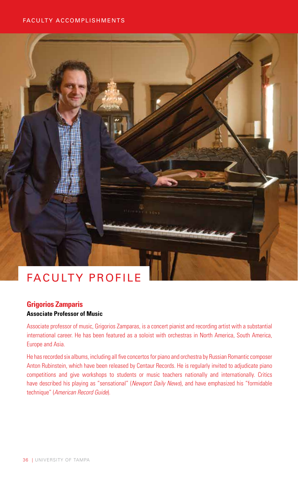# FACULTY ACCOMPLISHMENTS



# **Grigorios Zamparis**

#### **Associate Professor of Music**

Associate professor of music, Grigorios Zamparas, is a concert pianist and recording artist with a substantial international career. He has been featured as a soloist with orchestras in North America, South America, Europe and Asia.

He has recorded six albums, including all five concertos for piano and orchestra by Russian Romantic composer Anton Rubinstein, which have been released by Centaur Records. He is regularly invited to adjudicate piano competitions and give workshops to students or music teachers nationally and internationally. Critics have described his playing as "sensational" (*Newport Daily News*), and have emphasized his "formidable technique" (*American Record Guide*).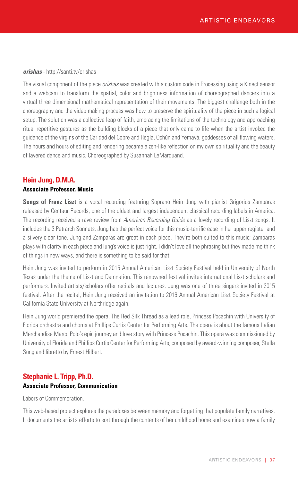#### *orishas* - http://santi.tv/orishas

The visual component of the piece *orishas* was created with a custom code in Processing using a Kinect sensor and a webcam to transform the spatial, color and brightness information of choreographed dancers into a virtual three dimensional mathematical representation of their movements. The biggest challenge both in the choreography and the video making process was how to preserve the spirituality of the piece in such a logical setup. The solution was a collective leap of faith, embracing the limitations of the technology and approaching ritual repetitive gestures as the building blocks of a piece that only came to life when the artist invoked the guidance of the virgins of the Caridad del Cobre and Regla, Ochún and Yemayá, goddesses of all flowing waters. The hours and hours of editing and rendering became a zen-like reflection on my own spirituality and the beauty of layered dance and music. Choreographed by Susannah LeMarquand.

# **Hein Jung, D.M.A.**

#### **Associate Professor, Music**

**Songs of Franz Liszt** is a vocal recording featuring Soprano Hein Jung with pianist Grigorios Zamparas released by Centaur Records, one of the oldest and largest independent classical recording labels in America. The recording received a rave review from *American Recording Guide* as a lovely recording of Liszt songs. It includes the 3 Petrarch Sonnets; Jung has the perfect voice for this music-terrific ease in her upper register and a silvery clear tone. Jung and Zamparas are great in each piece. They're both suited to this music; Zamparas plays with clarity in each piece and Iung's voice is just right. I didn't love all the phrasing but they made me think of things in new ways, and there is something to be said for that.

Hein Jung was invited to perform in 2015 Annual American Liszt Society Festival held in University of North Texas under the theme of Liszt and Damnation. This renowned festival invites international Liszt scholars and performers. Invited artists/scholars offer recitals and lectures. Jung was one of three singers invited in 2015 festival. After the recital, Hein Jung received an invitation to 2016 Annual American Liszt Society Festival at California State University at Northridge again.

Hein Jung world premiered the opera, The Red Silk Thread as a lead role, Princess Pocachin with University of Florida orchestra and chorus at Phillips Curtis Center for Performing Arts. The opera is about the famous Italian Merchandise Marco Polo's epic journey and love story with Princess Pocachin. This opera was commissioned by University of Florida and Phillips Curtis Center for Performing Arts, composed by award-winning composer, Stella Sung and libretto by Ernest Hilbert.

# **Stephanie L. Tripp, Ph.D.**

#### **Associate Professor, Communication**

#### Labors of Commemoration.

This web-based project explores the paradoxes between memory and forgetting that populate family narratives. It documents the artist's efforts to sort through the contents of her childhood home and examines how a family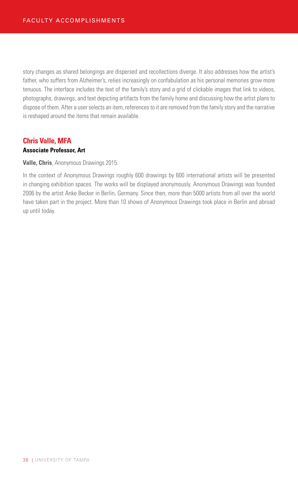story changes as shared belongings are dispersed and recollections diverge. It also addresses how the artist's father, who suffers from Alzheimer's, relies increasingly on confabulation as his personal memories grow more tenuous. The interface includes the text of the family's story and a grid of clickable images that link to videos, photographs, drawings, and text depicting artifacts from the family home and discussing how the artist plans to dispose of them. After a user selects an item, references to it are removed from the family story and the narrative is reshaped around the items that remain available.

# **Chris Valle, MFA**

#### **Associate Professor, Art**

**Valle, Chris**, Anonymous Drawings 2015.

In the context of Anonymous Drawings roughly 600 drawings by 600 international artists will be presented in changing exhibition spaces. The works will be displayed anonymously. Anonymous Drawings was founded 2006 by the artist Anke Becker in Berlin, Germany. Since then, more than 5000 artists from all over the world have taken part in the project. More than 10 shows of Anonymous Drawings took place in Berlin and abroad up until today.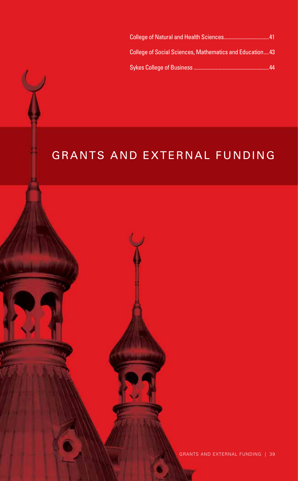| <b>College of Social Sciences, Mathematics and Education43</b> |
|----------------------------------------------------------------|
| 44                                                             |

# GRANTS AND EXTERNAL FUNDING

GRANTS AND EXTERNAL FUNDING | 39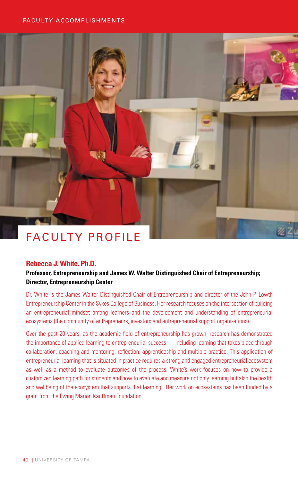

# **Rebecca J. White. Ph.D.**

# **Professor, Entrepreneurship and James W. Walter Distinguished Chair of Entrepreneurship; Director, Entrepreneurship Center**

Dr. White is the James Walter Distinguished Chair of Entrepreneurship and director of the John P. Lowth Entrepreneurship Center in the Sykes College of Business. Her research focuses on the intersection of building an entrepreneurial mindset among learners and the development and understanding of entrepreneurial ecosystems (the community of entrepreneurs, investors and entrepreneurial support organizations).

Over the past 20 years, as the academic field of entrepreneurship has grown, research has demonstrated the importance of applied learning to entrepreneurial success — including learning that takes place through collaboration, coaching and mentoring, reflection, apprenticeship and multiple practice. This application of entrepreneurial learning that is situated in practice requires a strong and engaged entrepreneurial ecosystem as well as a method to evaluate outcomes of the process. White's work focuses on how to provide a customized learning path for students and how to evaluate and measure not only learning but also the health and wellbeing of the ecosystem that supports that learning. Her work on ecosystems has been funded by a grant from the Ewing Marion Kauffman Foundation.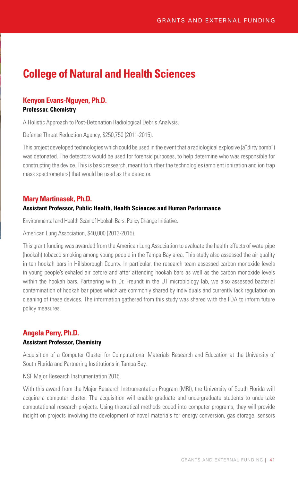# **College of Natural and Health Sciences**

# **Kenyon Evans-Nguyen, Ph.D. Professor, Chemistry**

A Holistic Approach to Post-Detonation Radiological Debris Analysis.

Defense Threat Reduction Agency, \$250,750 (2011-2015).

This project developed technologies which could be used in the event that a radiological explosive (a"dirty bomb") was detonated. The detectors would be used for forensic purposes, to help determine who was responsible for constructing the device. This is basic research, meant to further the technologies (ambient ionization and ion trap mass spectrometers) that would be used as the detector.

# **Mary Martinasek, Ph.D.**

#### **Assistant Professor, Public Health, Health Sciences and Human Performance**

Environmental and Health Scan of Hookah Bars: Policy Change Initiative.

American Lung Association, \$40,000 (2013-2015).

This grant funding was awarded from the American Lung Association to evaluate the health effects of waterpipe (hookah) tobacco smoking among young people in the Tampa Bay area. This study also assessed the air quality in ten hookah bars in Hillsborough County. In particular, the research team assessed carbon monoxide levels in young people's exhaled air before and after attending hookah bars as well as the carbon monoxide levels within the hookah bars. Partnering with Dr. Freundt in the UT microbiology lab, we also assessed bacterial contamination of hookah bar pipes which are commonly shared by individuals and currently lack regulation on cleaning of these devices. The information gathered from this study was shared with the FDA to inform future policy measures.

# **Angela Perry, Ph.D.**

#### **Assistant Professor, Chemistry**

Acquisition of a Computer Cluster for Computational Materials Research and Education at the University of South Florida and Partnering Institutions in Tampa Bay.

NSF Major Research Instrumentation 2015.

With this award from the Major Research Instrumentation Program (MRI), the University of South Florida will acquire a computer cluster. The acquisition will enable graduate and undergraduate students to undertake computational research projects. Using theoretical methods coded into computer programs, they will provide insight on projects involving the development of novel materials for energy conversion, gas storage, sensors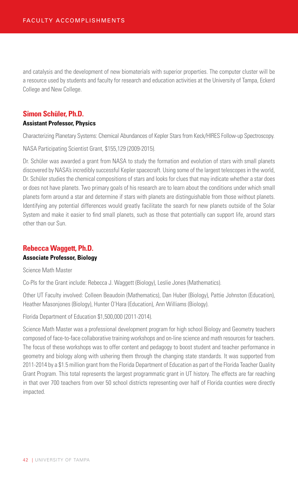and catalysis and the development of new biomaterials with superior properties. The computer cluster will be a resource used by students and faculty for research and education activities at the University of Tampa, Eckerd College and New College.

# **Simon Schüler, Ph.D.**

#### **Assistant Professor, Physics**

Characterizing Planetary Systems: Chemical Abundances of Kepler Stars from Keck/HIRES Follow-up Spectroscopy.

NASA Participating Scientist Grant, \$155,129 (2009-2015).

Dr. Schüler was awarded a grant from NASA to study the formation and evolution of stars with small planets discovered by NASA's incredibly successful Kepler spacecraft. Using some of the largest telescopes in the world, Dr. Schüler studies the chemical compositions of stars and looks for clues that may indicate whether a star does or does not have planets. Two primary goals of his research are to learn about the conditions under which small planets form around a star and determine if stars with planets are distinguishable from those without planets. Identifying any potential differences would greatly facilitate the search for new planets outside of the Solar System and make it easier to find small planets, such as those that potentially can support life, around stars other than our Sun.

## **Rebecca Waggett, Ph.D. Associate Professor, Biology**

Science Math Master

Co-PIs for the Grant include: Rebecca J. Waggett (Biology), Leslie Jones (Mathematics).

Other UT Faculty involved: Colleen Beaudoin (Mathematics), Dan Huber (Biology), Pattie Johnston (Education), Heather Masonjones (Biology), Hunter O'Hara (Education), Ann Williams (Biology).

Florida Department of Education \$1,500,000 (2011-2014).

Science Math Master was a professional development program for high school Biology and Geometry teachers composed of face-to-face collaborative training workshops and on-line science and math resources for teachers. The focus of these workshops was to offer content and pedagogy to boost student and teacher performance in geometry and biology along with ushering them through the changing state standards. It was supported from 2011-2014 by a \$1.5 million grant from the Florida Department of Education as part of the Florida Teacher Quality Grant Program. This total represents the largest programmatic grant in UT history. The effects are far reaching in that over 700 teachers from over 50 school districts representing over half of Florida counties were directly impacted.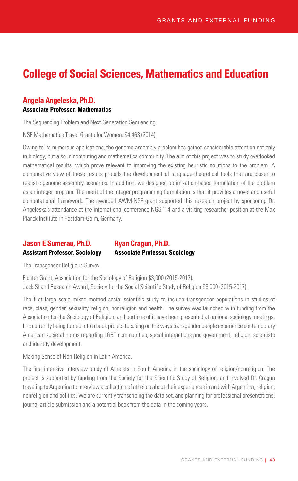# **College of Social Sciences, Mathematics and Education**

#### **Angela Angeleska, Ph.D. Associate Professor, Mathematics**

The Sequencing Problem and Next Generation Sequencing.

NSF Mathematics Travel Grants for Women. \$4,463 (2014).

Owing to its numerous applications, the genome assembly problem has gained considerable attention not only in biology, but also in computing and mathematics community. The aim of this project was to study overlooked mathematical results, which prove relevant to improving the existing heuristic solutions to the problem. A comparative view of these results propels the development of language-theoretical tools that are closer to realistic genome assembly scenarios. In addition, we designed optimization-based formulation of the problem as an integer program. The merit of the integer programming formulation is that it provides a novel and useful computational framework. The awarded AWM-NSF grant supported this research project by sponsoring Dr. Angeleska's attendance at the international conference NGS `14 and a visiting researcher position at the Max Planck Institute in Postdam-Golm, Germany.

# **Jason E Sumerau, Ph.D. Ryan Cragun, Ph.D.**

# **Assistant Professor, Sociology Associate Professor, Sociology**

The Transgender Religious Survey.

Fichter Grant, Association for the Sociology of Religion \$3,000 (2015-2017). Jack Shand Research Award, Society for the Social Scientific Study of Religion \$5,000 (2015-2017).

The first large scale mixed method social scientific study to include transgender populations in studies of race, class, gender, sexuality, religion, nonreligion and health. The survey was launched with funding from the Association for the Sociology of Religion, and portions of it have been presented at national sociology meetings. It is currently being turned into a book project focusing on the ways transgender people experience contemporary American societal norms regarding LGBT communities, social interactions and government, religion, scientists and identity development.

Making Sense of Non-Religion in Latin America.

The first intensive interview study of Atheists in South America in the sociology of religion/nonreligion. The project is supported by funding from the Society for the Scientific Study of Religion, and involved Dr. Cragun traveling to Argentina to interview a collection of atheists about their experiences in and with Argentina, religion, nonreligion and politics. We are currently transcribing the data set, and planning for professional presentations, journal article submission and a potential book from the data in the coming years.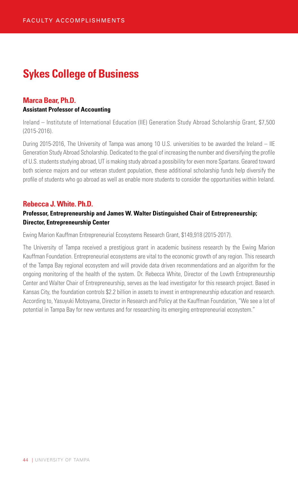# **Sykes College of Business**

#### **Marca Bear, Ph.D. Assistant Professor of Accounting**

Ireland – Institutute of International Education (IIE) Generation Study Abroad Scholarship Grant, \$7,500 (2015-2016).

During 2015-2016, The University of Tampa was among 10 U.S. universities to be awarded the Ireland – IIE Generation Study Abroad Scholarship. Dedicated to the goal of increasing the number and diversifying the profile of U.S. students studying abroad, UT is making study abroad a possibility for even more Spartans. Geared toward both science majors and our veteran student population, these additional scholarship funds help diversify the profile of students who go abroad as well as enable more students to consider the opportunities within Ireland.

# **Rebecca J. White. Ph.D.**

## **Professor, Entrepreneurship and James W. Walter Distinguished Chair of Entrepreneurship; Director, Entrepreneurship Center**

Ewing Marion Kauffman Entrepreneurial Ecosystems Research Grant, \$149,918 (2015-2017).

The University of Tampa received a prestigious grant in academic business research by the Ewing Marion Kauffman Foundation. Entrepreneurial ecosystems are vital to the economic growth of any region. This research of the Tampa Bay regional ecosystem and will provide data driven recommendations and an algorithm for the ongoing monitoring of the health of the system. Dr. Rebecca White, Director of the Lowth Entrepreneurship Center and Walter Chair of Entrepreneurship, serves as the lead investigator for this research project. Based in Kansas City, the foundation controls \$2.2 billion in assets to invest in entrepreneurship education and research. According to, Yasuyuki Motoyama, Director in Research and Policy at the Kauffman Foundation, "We see a lot of potential in Tampa Bay for new ventures and for researching its emerging entrepreneurial ecosystem."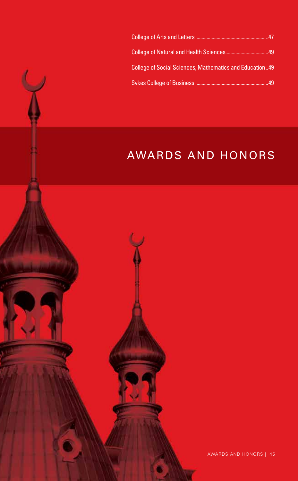| <b>College of Social Sciences, Mathematics and Education49</b> |  |
|----------------------------------------------------------------|--|
|                                                                |  |

پ

# AWARDS AND HONORS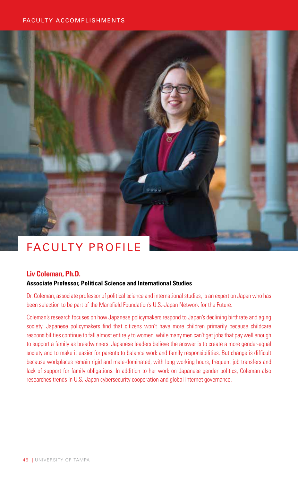#### FACULTY ACCOMPLISHMENTS



# **Liv Coleman, Ph.D.**

## **Associate Professor, Political Science and International Studies**

Dr. Coleman, associate professor of political science and international studies, is an expert on Japan who has been selection to be part of the Mansfield Foundation's U.S.-Japan Network for the Future.

Coleman's research focuses on how Japanese policymakers respond to Japan's declining birthrate and aging society. Japanese policymakers find that citizens won't have more children primarily because childcare responsibilities continue to fall almost entirely to women, while many men can't get jobs that pay well enough to support a family as breadwinners. Japanese leaders believe the answer is to create a more gender-equal society and to make it easier for parents to balance work and family responsibilities. But change is difficult because workplaces remain rigid and male-dominated, with long working hours, frequent job transfers and lack of support for family obligations. In addition to her work on Japanese gender politics, Coleman also researches trends in U.S.-Japan cybersecurity cooperation and global Internet governance.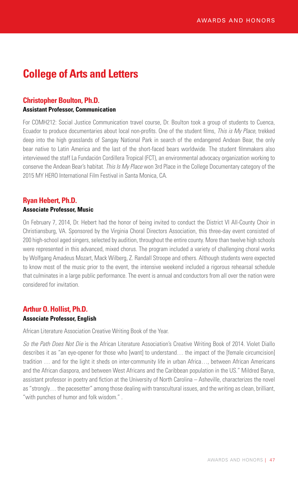# **College of Arts and Letters**

# **Christopher Boulton, Ph.D. Assistant Professor, Communication**

For COMH212: Social Justice Communication travel course, Dr. Boulton took a group of students to Cuenca, Ecuador to produce documentaries about local non-profits. One of the student films, *This is My Place*, trekked deep into the high grasslands of Sangay National Park in search of the endangered Andean Bear, the only bear native to Latin America and the last of the short-faced bears worldwide. The student filmmakers also interviewed the staff La Fundación Cordillera Tropical (FCT), an environmental advocacy organization working to conserve the Andean Bear's habitat. *This Is My Place* won 3rd Place in the College Documentary category of the 2015 MY HERO International Film Festival in Santa Monica, CA.

# **Ryan Hebert, Ph.D.**

# **Associate Professor, Music**

On February 7, 2014, Dr. Hebert had the honor of being invited to conduct the District VI All-County Choir in Christiansburg, VA. Sponsored by the Virginia Choral Directors Association, this three-day event consisted of 200 high-school aged singers, selected by audition, throughout the entire county. More than twelve high schools were represented in this advanced, mixed chorus. The program included a variety of challenging choral works by Wolfgang Amadeus Mozart, Mack Wilberg, Z. Randall Stroope and others. Although students were expected to know most of the music prior to the event, the intensive weekend included a rigorous rehearsal schedule that culminates in a large public performance. The event is annual and conductors from all over the nation were considered for invitation.

# **Arthur O. Hollist, Ph.D.**

#### **Associate Professor, English**

African Literature Association Creative Writing Book of the Year.

*So the Path Does Not Die* is the African Literature Association's Creative Writing Book of 2014. Violet Diallo describes it as "an eye-opener for those who [want] to understand… the impact of the [female circumcision] tradition … and for the light it sheds on inter-community life in urban Africa…, between African Americans and the African diaspora, and between West Africans and the Caribbean population in the US." Mildred Barya, assistant professor in poetry and fiction at the University of North Carolina – Asheville, characterizes the novel as "strongly… the pacesetter" among those dealing with transcultural issues, and the writing as clean, brilliant, "with punches of humor and folk wisdom." .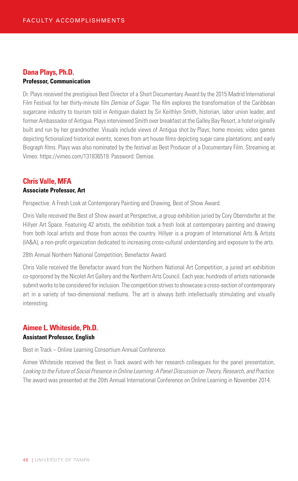# **Dana Plays, Ph.D. Professor, Communication**

Dr. Plays received the prestigious Best Director of a Short Documentary Award by the 2015 Madrid International Film Festival for her thirty-minute film *Demise of Sugar*. The film explores the transformation of the Caribbean sugarcane industry to tourism told in Antiguan dialect by Sir Keithlyn Smith, historian, labor union leader, and former Ambassador of Antigua. Plays interviewed Smith over breakfast at the Galley Bay Resort, a hotel originally built and run by her grandmother. Visuals include views of Antigua shot by Plays; home movies; video games depicting fictionalized historical events; scenes from art house films depicting sugar cane plantations; and early Biograph films. Plays was also nominated by the festival as Best Producer of a Documentary Film. Streaming at Vimeo: https://vimeo.com/131836519. Password: Demise.

# **Chris Valle, MFA**

#### **Associate Professor, Art**

Perspective: A Fresh Look at Contemporary Painting and Drawing, Best of Show Award.

Chris Valle received the Best of Show award at Perspective, a group exhibition juried by Cory Oberndorfer at the Hillyer Art Space. Featuring 42 artists, the exhibition took a fresh look at contemporary painting and drawing from both local artists and those from across the country. Hillyer is a program of International Arts & Artists (IA&A), a non-profit organization dedicated to increasing cross-cultural understanding and exposure to the arts.

28th Annual Northern National Competition, Benefactor Award.

Chris Valle received the Benefactor award from the Northern National Art Competition, a juried art exhibition co-sponsored by the Nicolet Art Gallery and the Northern Arts Council. Each year, hundreds of artists nationwide submit works to be considered for inclusion. The competition strives to showcase a cross-section of contemporary art in a variety of two-dimensional mediums. The art is always both intellectually stimulating and visually interesting.

# **Aimee L. Whiteside, Ph.D.**

#### **Assistant Professor, English**

Best in Track – Online Learning Consortium Annual Conference.

Aimee Whiteside received the Best in Track award with her research colleagues for the panel presentation, *Looking to the Future of Social Presence in Online Learning: A Panel Discussion on Theory, Research, and Practice*. The award was presented at the 20th Annual International Conference on Online Learning in November 2014.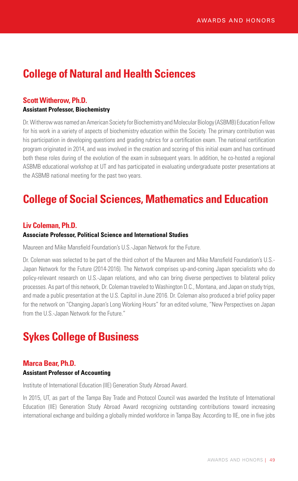# **College of Natural and Health Sciences**

## **Scott Witherow, Ph.D. Assistant Professor, Biochemistry**

Dr. Witherow was named an American Society for Biochemistry and Molecular Biology (ASBMB) Education Fellow for his work in a variety of aspects of biochemistry education within the Society. The primary contribution was his participation in developing questions and grading rubrics for a certification exam. The national certification program originated in 2014, and was involved in the creation and scoring of this initial exam and has continued both these roles during of the evolution of the exam in subsequent years. In addition, he co-hosted a regional ASBMB educational workshop at UT and has participated in evaluating undergraduate poster presentations at the ASBMB national meeting for the past two years.

# **College of Social Sciences, Mathematics and Education**

# **Liv Coleman, Ph.D.**

#### **Associate Professor, Political Science and International Studies**

Maureen and Mike Mansfield Foundation's U.S.-Japan Network for the Future.

Dr. Coleman was selected to be part of the third cohort of the Maureen and Mike Mansfield Foundation's U.S.- Japan Network for the Future (2014-2016). The Network comprises up-and-coming Japan specialists who do policy-relevant research on U.S.-Japan relations, and who can bring diverse perspectives to bilateral policy processes. As part of this network, Dr. Coleman traveled to Washington D.C., Montana, and Japan on study trips, and made a public presentation at the U.S. Capitol in June 2016. Dr. Coleman also produced a brief policy paper for the network on "Changing Japan's Long Working Hours" for an edited volume, "New Perspectives on Japan from the U.S.-Japan Network for the Future."

# **Sykes College of Business**

# **Marca Bear, Ph.D.**

#### **Assistant Professor of Accounting**

Institute of International Education (IIE) Generation Study Abroad Award.

In 2015, UT, as part of the Tampa Bay Trade and Protocol Council was awarded the Institute of International Education (IIE) Generation Study Abroad Award recognizing outstanding contributions toward increasing international exchange and building a globally minded workforce in Tampa Bay. According to IIE, one in five jobs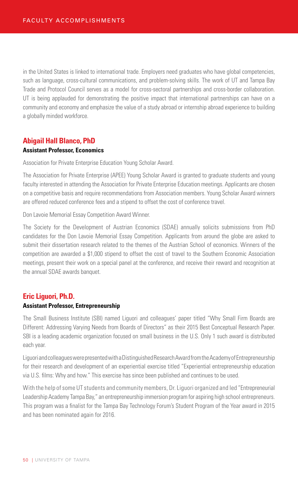in the United States is linked to international trade. Employers need graduates who have global competencies, such as language, cross-cultural communications, and problem-solving skills. The work of UT and Tampa Bay Trade and Protocol Council serves as a model for cross-sectoral partnerships and cross-border collaboration. UT is being applauded for demonstrating the positive impact that international partnerships can have on a community and economy and emphasize the value of a study abroad or internship abroad experience to building a globally minded workforce.

# **Abigail Hall Blanco, PhD**

#### **Assistant Professor, Economics**

Association for Private Enterprise Education Young Scholar Award.

The Association for Private Enterprise (APEE) Young Scholar Award is granted to graduate students and young faculty interested in attending the Association for Private Enterprise Education meetings. Applicants are chosen on a competitive basis and require recommendations from Association members. Young Scholar Award winners are offered reduced conference fees and a stipend to offset the cost of conference travel.

Don Lavoie Memorial Essay Competition Award Winner.

The Society for the Development of Austrian Economics (SDAE) annually solicits submissions from PhD candidates for the Don Lavoie Memorial Essay Competition. Applicants from around the globe are asked to submit their dissertation research related to the themes of the Austrian School of economics. Winners of the competition are awarded a \$1,000 stipend to offset the cost of travel to the Southern Economic Association meetings, present their work on a special panel at the conference, and receive their reward and recognition at the annual SDAE awards banquet.

# **Eric Liguori, Ph.D.**

#### **Assistant Professor, Entrepreneurship**

The Small Business Institute (SBI) named Liguori and colleagues' paper titled "Why Small Firm Boards are Different: Addressing Varying Needs from Boards of Directors" as their 2015 Best Conceptual Research Paper. SBI is a leading academic organization focused on small business in the U.S. Only 1 such award is distributed each year.

Liguori and colleagues were presented with a Distinguished Research Award from the Academy of Entrepreneurship for their research and development of an experiential exercise titled "Experiential entrepreneurship education via U.S. films: Why and how." This exercise has since been published and continues to be used.

With the help of some UT students and community members, Dr. Liguori organized and led "Entrepreneurial Leadership Academy Tampa Bay," an entrepreneurship immersion program for aspiring high school entrepreneurs. This program was a finalist for the Tampa Bay Technology Forum's Student Program of the Year award in 2015 and has been nominated again for 2016.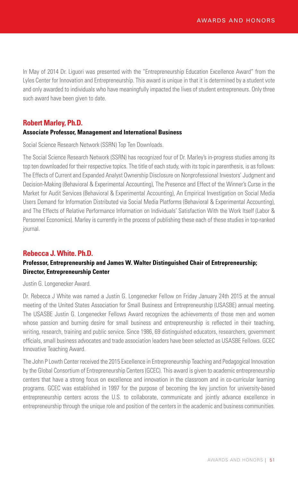In May of 2014 Dr. Liguori was presented with the "Entrepreneurship Education Excellence Award" from the Lyles Center for Innovation and Entrepreneurship. This award is unique in that it is determined by a student vote and only awarded to individuals who have meaningfully impacted the lives of student entrepreneurs. Only three such award have been given to date.

# **Robert Marley, Ph.D.**

#### **Associate Professor, Management and International Business**

Social Science Research Network (SSRN) Top Ten Downloads.

The Social Science Research Network (SSRN) has recognized four of Dr. Marley's in-progress studies among its top ten downloaded for their respective topics. The title of each study, with its topic in parenthesis, is as follows: The Effects of Current and Expanded Analyst Ownership Disclosure on Nonprofessional Investors' Judgment and Decision-Making (Behavioral & Experimental Accounting), The Presence and Effect of the Winner's Curse in the Market for Audit Services (Behavioral & Experimental Accounting), An Empirical Investigation on Social Media Users Demand for Information Distributed via Social Media Platforms (Behavioral & Experimental Accounting), and The Effects of Relative Performance Information on Individuals' Satisfaction With the Work Itself (Labor & Personnel Economics). Marley is currently in the process of publishing these each of these studies in top-ranked journal.

#### **Rebecca J. White. Ph.D.**

# **Professor, Entrepreneurship and James W. Walter Distinguished Chair of Entrepreneurship; Director, Entrepreneurship Center**

Justin G. Longenecker Award.

Dr. Rebecca J White was named a Justin G. Longenecker Fellow on Friday January 24th 2015 at the annual meeting of the United States Association for Small Business and Entrepreneurship (USASBE) annual meeting. The USASBE Justin G. Longenecker Fellows Award recognizes the achievements of those men and women whose passion and burning desire for small business and entrepreneurship is reflected in their teaching, writing, research, training and public service. Since 1986, 69 distinguished educators, researchers, government officials, small business advocates and trade association leaders have been selected as USASBE Fellows. GCEC Innovative Teaching Award.

The John P Lowth Center received the 2015 Excellence in Entrepreneurship Teaching and Pedagogical Innovation by the Global Consortium of Entrepreneurship Centers (GCEC). This award is given to academic entrepreneurship centers that have a strong focus on excellence and innovation in the classroom and in co-curricular learning programs. GCEC was established in 1997 for the purpose of becoming the key junction for university-based entrepreneurship centers across the U.S. to collaborate, communicate and jointly advance excellence in entrepreneurship through the unique role and position of the centers in the academic and business communities.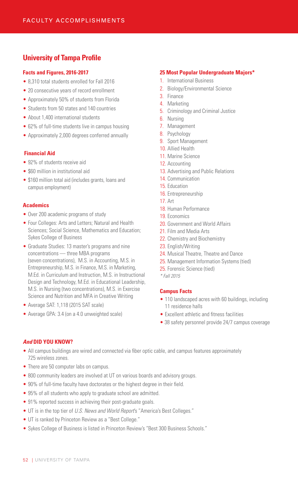# **University of Tampa Profile**

#### **Facts and Figures, 2016-2017**

- 8,310 total students enrolled for Fall 2016
- 20 consecutive years of record enrollment
- Approximately 50% of students from Florida
- Students from 50 states and 140 countries
- About 1,400 international students
- 62% of full-time students live in campus housing
- Approximately 2,000 degrees conferred annually

#### **Financial Aid**

- 92% of students receive aid
- \$60 million in institutional aid
- \$160 million total aid (includes grants, loans and campus employment)

#### **Academics**

- Over 200 academic programs of study
- Four Colleges: Arts and Letters; Natural and Health Sciences; Social Science, Mathematics and Education; Sykes College of Business
- Graduate Studies: 13 master's programs and nine concentrations — three MBA programs (seven concentrations), M.S. in Accounting, M.S. in Entrepreneurship, M.S. in Finance, M.S. in Marketing, M.Ed. in Curriculum and Instruction, M.S. in Instructional Design and Technology, M.Ed. in Educational Leadership, M.S. in Nursing (two concentrations), M.S. in Exercise Science and Nutrition and MFA in Creative Writing
- Average SAT: 1,118 (2015 SAT scale)
- Average GPA: 3.4 (on a 4.0 unweighted scale)

#### **25 Most Popular Undergraduate Majors\***

- 1. International Business
- 2. Biology/Environmental Science
- 3. Finance
- 4. Marketing
- 5. Criminology and Criminal Justice
- 6. Nursing
- 7. Management
- 8. Psychology
- 9. Sport Management
- 10. Allied Health
- 11. Marine Science
- 12. Accounting
- 13. Advertising and Public Relations
- 14. Communication
- 15. Education
- 16. Entrepreneurship
- 17. Art
- 18. Human Performance
- 19. Economics
- 20. Government and World Affairs
- 21 Film and Media Arts
- 22. Chemistry and Biochemistry
- 23. English/Writing
- 24. Musical Theatre, Theatre and Dance
- 25. Management Information Systems (tied)
- 25. Forensic Science (tied)

*\* Fall 2015*

#### **Campus Facts**

- 110 landscaped acres with 60 buildings, including 11 residence halls
- Excellent athletic and fitness facilities
- 38 safety personnel provide 24/7 campus coverage

#### *And* **DID YOU KNOW?**

- All campus buildings are wired and connected via fiber optic cable, and campus features approximately 725 wireless zones.
- There are 50 computer labs on campus.
- 800 community leaders are involved at UT on various boards and advisory groups.
- 90% of full-time faculty have doctorates or the highest degree in their field.
- 95% of all students who apply to graduate school are admitted.
- 91% reported success in achieving their post-graduate goals.
- UT is in the top tier of *U.S. News and World Report*'s "America's Best Colleges."
- UT is ranked by Princeton Review as a "Best College."
- Sykes College of Business is listed in Princeton Review's "Best 300 Business Schools."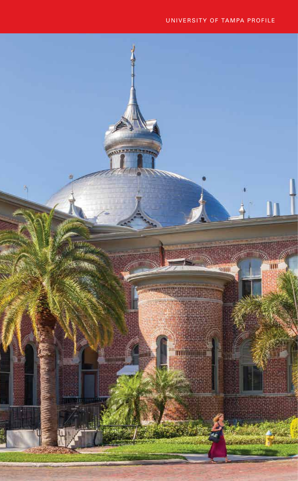# UNIVERSITY OF TAMPA PROFILE